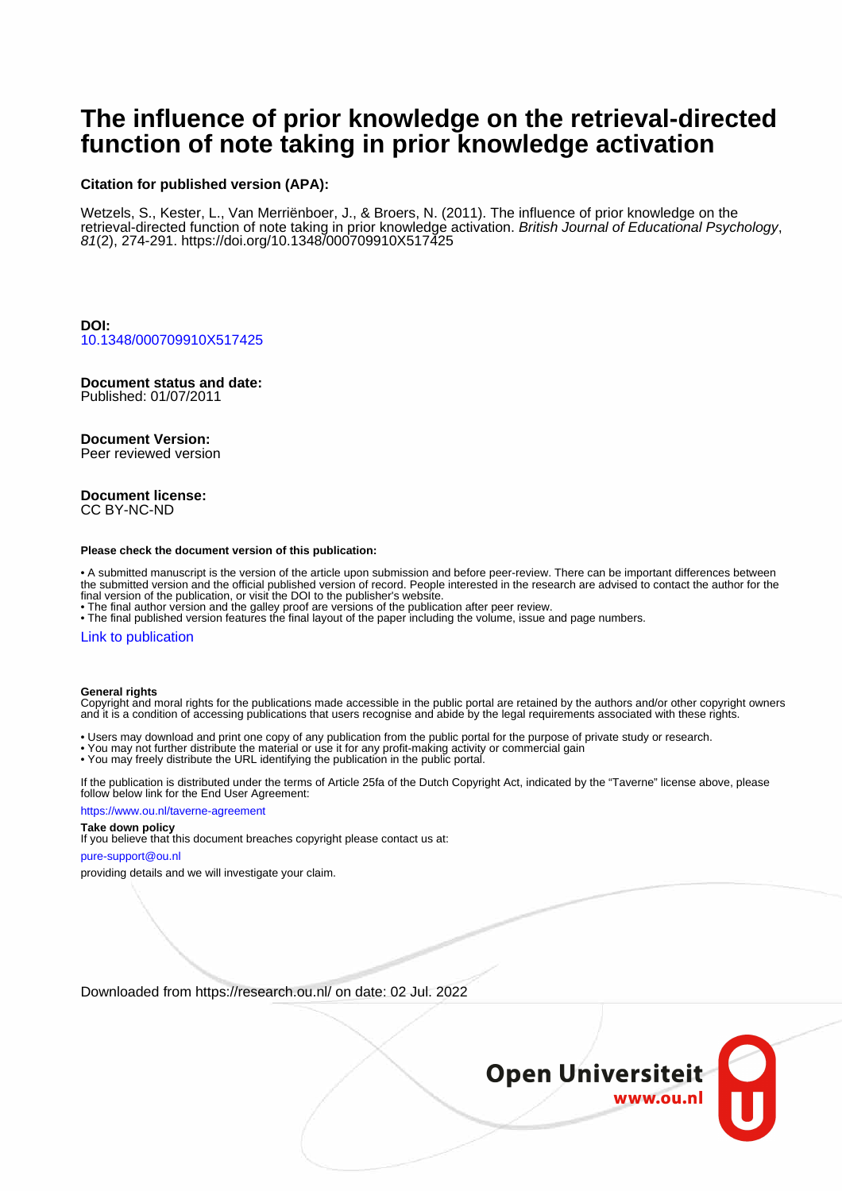# **The influence of prior knowledge on the retrieval-directed function of note taking in prior knowledge activation**

#### **Citation for published version (APA):**

Wetzels, S., Kester, L., Van Merriënboer, J., & Broers, N. (2011). The influence of prior knowledge on the retrieval-directed function of note taking in prior knowledge activation. British Journal of Educational Psychology, 81(2), 274-291.<https://doi.org/10.1348/000709910X517425>

**DOI:** [10.1348/000709910X517425](https://doi.org/10.1348/000709910X517425)

## **Document status and date:**

Published: 01/07/2011

#### **Document Version:**

Peer reviewed version

#### **Document license:** CC BY-NC-ND

#### **Please check the document version of this publication:**

• A submitted manuscript is the version of the article upon submission and before peer-review. There can be important differences between the submitted version and the official published version of record. People interested in the research are advised to contact the author for the final version of the publication, or visit the DOI to the publisher's website.

• The final author version and the galley proof are versions of the publication after peer review.

• The final published version features the final layout of the paper including the volume, issue and page numbers.

#### [Link to publication](https://research.ou.nl/en/publications/2ff89a3a-a533-4488-824f-7a74e1aa875f)

#### **General rights**

Copyright and moral rights for the publications made accessible in the public portal are retained by the authors and/or other copyright owners and it is a condition of accessing publications that users recognise and abide by the legal requirements associated with these rights.

- Users may download and print one copy of any publication from the public portal for the purpose of private study or research.
- You may not further distribute the material or use it for any profit-making activity or commercial gain
- You may freely distribute the URL identifying the publication in the public portal.

If the publication is distributed under the terms of Article 25fa of the Dutch Copyright Act, indicated by the "Taverne" license above, please follow below link for the End User Agreement:

#### https://www.ou.nl/taverne-agreement

### **Take down policy**

If you believe that this document breaches copyright please contact us at:

#### pure-support@ou.nl

providing details and we will investigate your claim.

Downloaded from https://research.ou.nl/ on date: 02 Jul. 2022

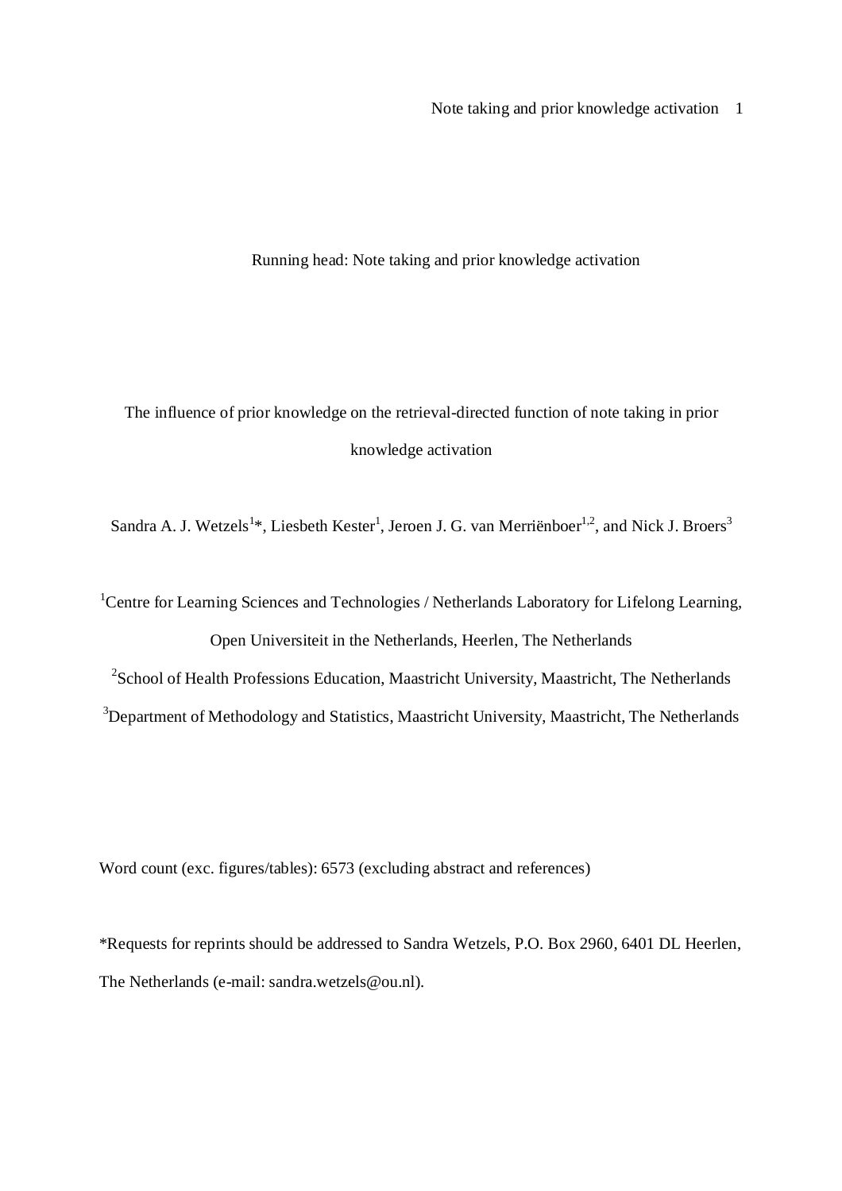Note taking and prior knowledge activation 1

Running head: Note taking and prior knowledge activation

The influence of prior knowledge on the retrieval-directed function of note taking in prior knowledge activation

Sandra A. J. Wetzels<sup>1\*</sup>, Liesbeth Kester<sup>1</sup>, Jeroen J. G. van Merriënboer<sup>1,2</sup>, and Nick J. Broers<sup>3</sup>

<sup>1</sup>Centre for Learning Sciences and Technologies / Netherlands Laboratory for Lifelong Learning, Open Universiteit in the Netherlands, Heerlen, The Netherlands

<sup>2</sup>School of Health Professions Education, Maastricht University, Maastricht, The Netherlands

<sup>3</sup>Department of Methodology and Statistics, Maastricht University, Maastricht, The Netherlands

Word count (exc. figures/tables): 6573 (excluding abstract and references)

\*Requests for reprints should be addressed to Sandra Wetzels, P.O. Box 2960, 6401 DL Heerlen, The Netherlands (e-mail: sandra.wetzels@ou.nl).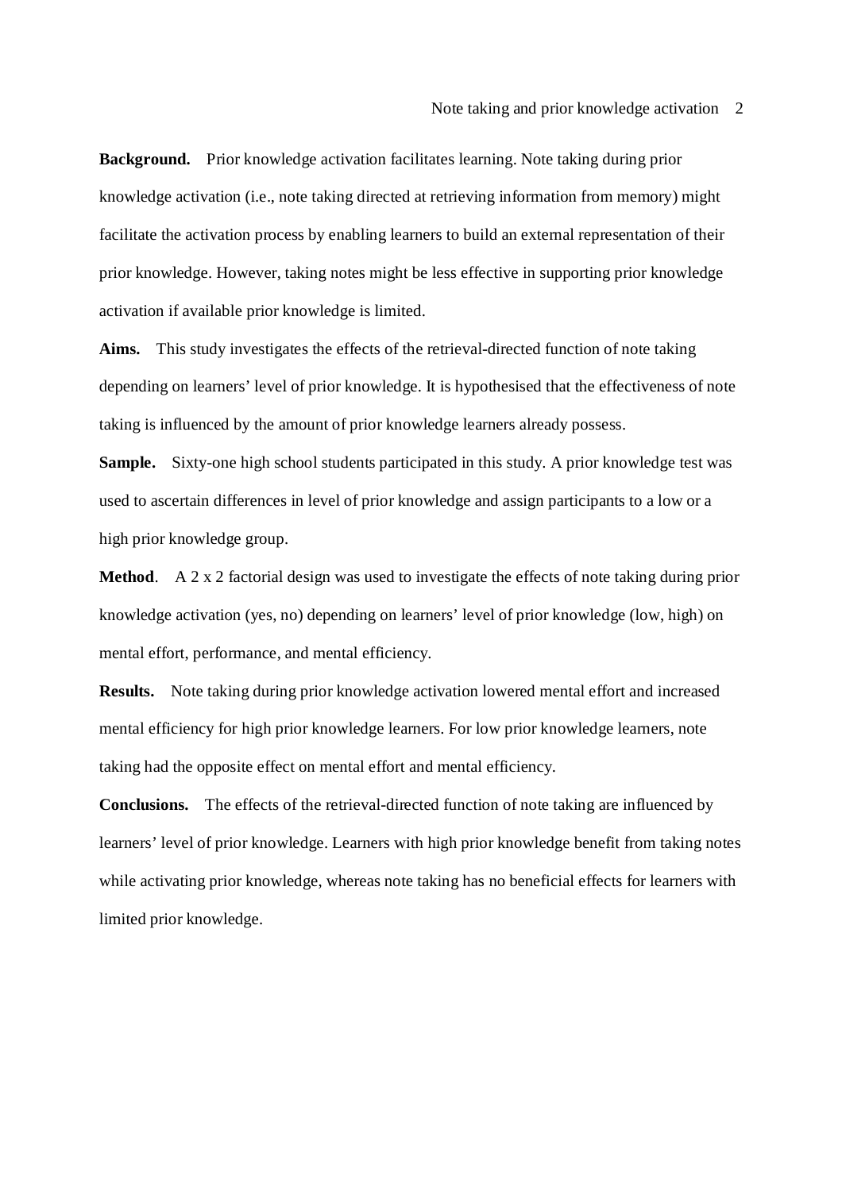**Background.** Prior knowledge activation facilitates learning. Note taking during prior knowledge activation (i.e., note taking directed at retrieving information from memory) might facilitate the activation process by enabling learners to build an external representation of their prior knowledge. However, taking notes might be less effective in supporting prior knowledge activation if available prior knowledge is limited.

**Aims.** This study investigates the effects of the retrieval-directed function of note taking depending on learners' level of prior knowledge. It is hypothesised that the effectiveness of note taking is influenced by the amount of prior knowledge learners already possess.

**Sample.** Sixty-one high school students participated in this study. A prior knowledge test was used to ascertain differences in level of prior knowledge and assign participants to a low or a high prior knowledge group.

**Method**. A 2 x 2 factorial design was used to investigate the effects of note taking during prior knowledge activation (yes, no) depending on learners' level of prior knowledge (low, high) on mental effort, performance, and mental efficiency.

**Results.** Note taking during prior knowledge activation lowered mental effort and increased mental efficiency for high prior knowledge learners. For low prior knowledge learners, note taking had the opposite effect on mental effort and mental efficiency.

**Conclusions.** The effects of the retrieval-directed function of note taking are influenced by learners' level of prior knowledge. Learners with high prior knowledge benefit from taking notes while activating prior knowledge, whereas note taking has no beneficial effects for learners with limited prior knowledge.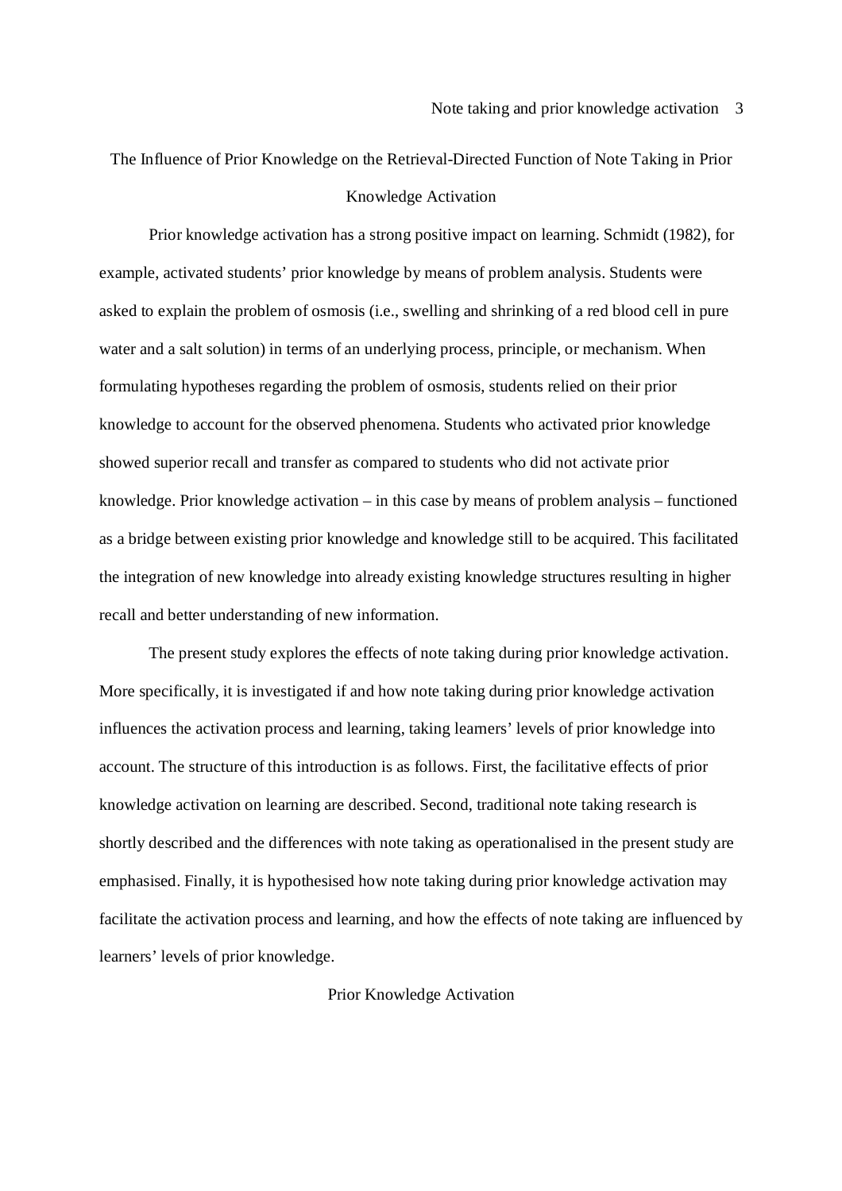# The Influence of Prior Knowledge on the Retrieval-Directed Function of Note Taking in Prior Knowledge Activation

Prior knowledge activation has a strong positive impact on learning. Schmidt (1982), for example, activated students' prior knowledge by means of problem analysis. Students were asked to explain the problem of osmosis (i.e., swelling and shrinking of a red blood cell in pure water and a salt solution) in terms of an underlying process, principle, or mechanism. When formulating hypotheses regarding the problem of osmosis, students relied on their prior knowledge to account for the observed phenomena. Students who activated prior knowledge showed superior recall and transfer as compared to students who did not activate prior knowledge. Prior knowledge activation – in this case by means of problem analysis – functioned as a bridge between existing prior knowledge and knowledge still to be acquired. This facilitated the integration of new knowledge into already existing knowledge structures resulting in higher recall and better understanding of new information.

The present study explores the effects of note taking during prior knowledge activation. More specifically, it is investigated if and how note taking during prior knowledge activation influences the activation process and learning, taking learners' levels of prior knowledge into account. The structure of this introduction is as follows. First, the facilitative effects of prior knowledge activation on learning are described. Second, traditional note taking research is shortly described and the differences with note taking as operationalised in the present study are emphasised. Finally, it is hypothesised how note taking during prior knowledge activation may facilitate the activation process and learning, and how the effects of note taking are influenced by learners' levels of prior knowledge.

#### Prior Knowledge Activation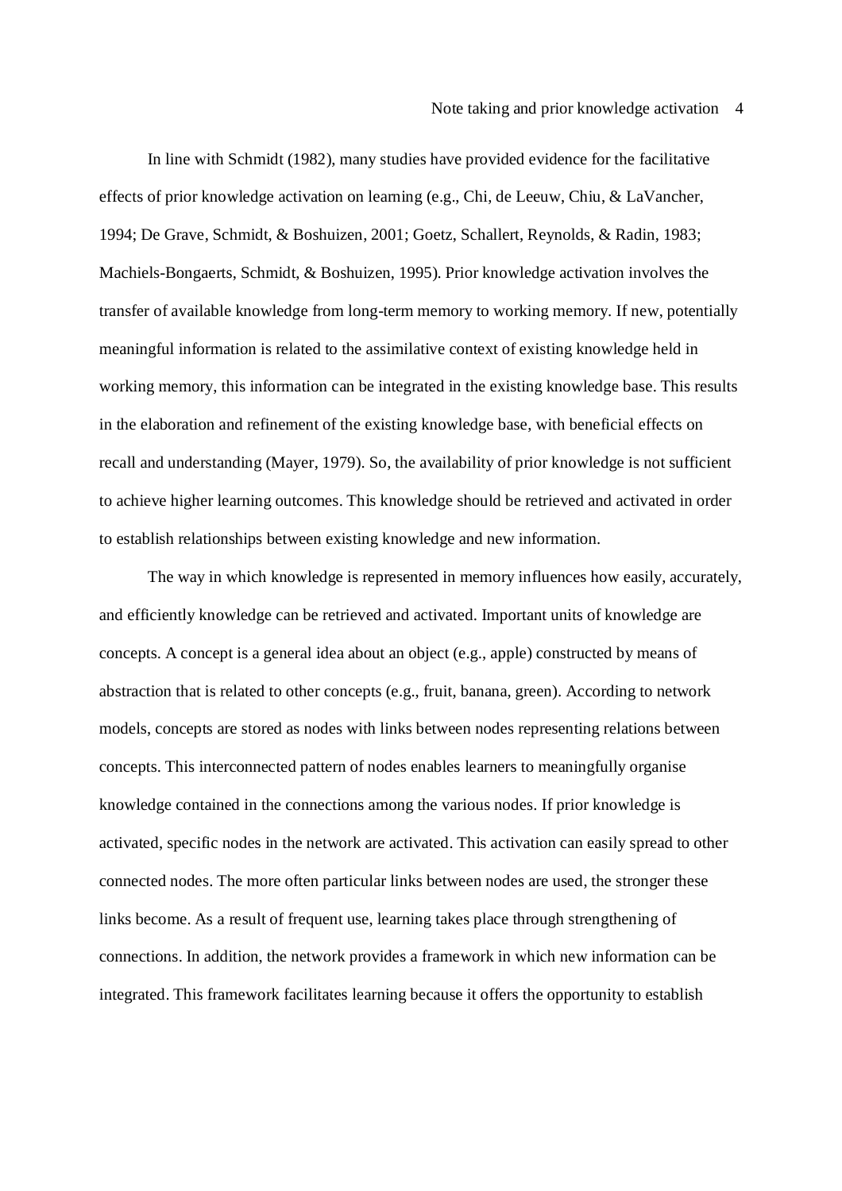In line with Schmidt (1982), many studies have provided evidence for the facilitative effects of prior knowledge activation on learning (e.g., Chi, de Leeuw, Chiu, & LaVancher, 1994; De Grave, Schmidt, & Boshuizen, 2001; Goetz, Schallert, Reynolds, & Radin, 1983; Machiels-Bongaerts, Schmidt, & Boshuizen, 1995). Prior knowledge activation involves the transfer of available knowledge from long-term memory to working memory. If new, potentially meaningful information is related to the assimilative context of existing knowledge held in working memory, this information can be integrated in the existing knowledge base. This results in the elaboration and refinement of the existing knowledge base, with beneficial effects on recall and understanding (Mayer, 1979). So, the availability of prior knowledge is not sufficient to achieve higher learning outcomes. This knowledge should be retrieved and activated in order to establish relationships between existing knowledge and new information.

The way in which knowledge is represented in memory influences how easily, accurately, and efficiently knowledge can be retrieved and activated. Important units of knowledge are concepts. A concept is a general idea about an object (e.g., apple) constructed by means of abstraction that is related to other concepts (e.g., fruit, banana, green). According to network models, concepts are stored as nodes with links between nodes representing relations between concepts. This interconnected pattern of nodes enables learners to meaningfully organise knowledge contained in the connections among the various nodes. If prior knowledge is activated, specific nodes in the network are activated. This activation can easily spread to other connected nodes. The more often particular links between nodes are used, the stronger these links become. As a result of frequent use, learning takes place through strengthening of connections. In addition, the network provides a framework in which new information can be integrated. This framework facilitates learning because it offers the opportunity to establish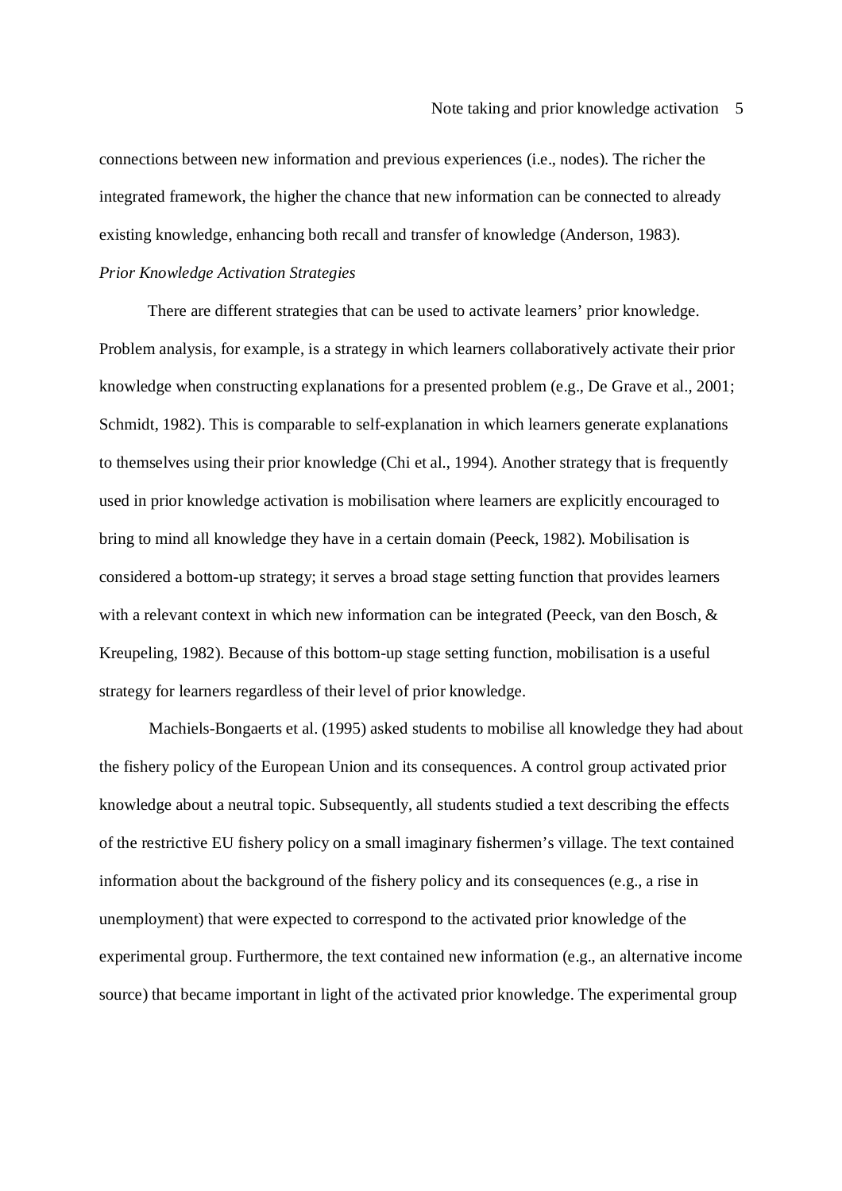connections between new information and previous experiences (i.e., nodes). The richer the integrated framework, the higher the chance that new information can be connected to already existing knowledge, enhancing both recall and transfer of knowledge (Anderson, 1983).

## *Prior Knowledge Activation Strategies*

There are different strategies that can be used to activate learners' prior knowledge. Problem analysis, for example, is a strategy in which learners collaboratively activate their prior knowledge when constructing explanations for a presented problem (e.g., De Grave et al., 2001; Schmidt, 1982). This is comparable to self-explanation in which learners generate explanations to themselves using their prior knowledge (Chi et al., 1994). Another strategy that is frequently used in prior knowledge activation is mobilisation where learners are explicitly encouraged to bring to mind all knowledge they have in a certain domain (Peeck, 1982). Mobilisation is considered a bottom-up strategy; it serves a broad stage setting function that provides learners with a relevant context in which new information can be integrated (Peeck, van den Bosch, & Kreupeling, 1982). Because of this bottom-up stage setting function, mobilisation is a useful strategy for learners regardless of their level of prior knowledge.

Machiels-Bongaerts et al. (1995) asked students to mobilise all knowledge they had about the fishery policy of the European Union and its consequences. A control group activated prior knowledge about a neutral topic. Subsequently, all students studied a text describing the effects of the restrictive EU fishery policy on a small imaginary fishermen's village. The text contained information about the background of the fishery policy and its consequences (e.g., a rise in unemployment) that were expected to correspond to the activated prior knowledge of the experimental group. Furthermore, the text contained new information (e.g., an alternative income source) that became important in light of the activated prior knowledge. The experimental group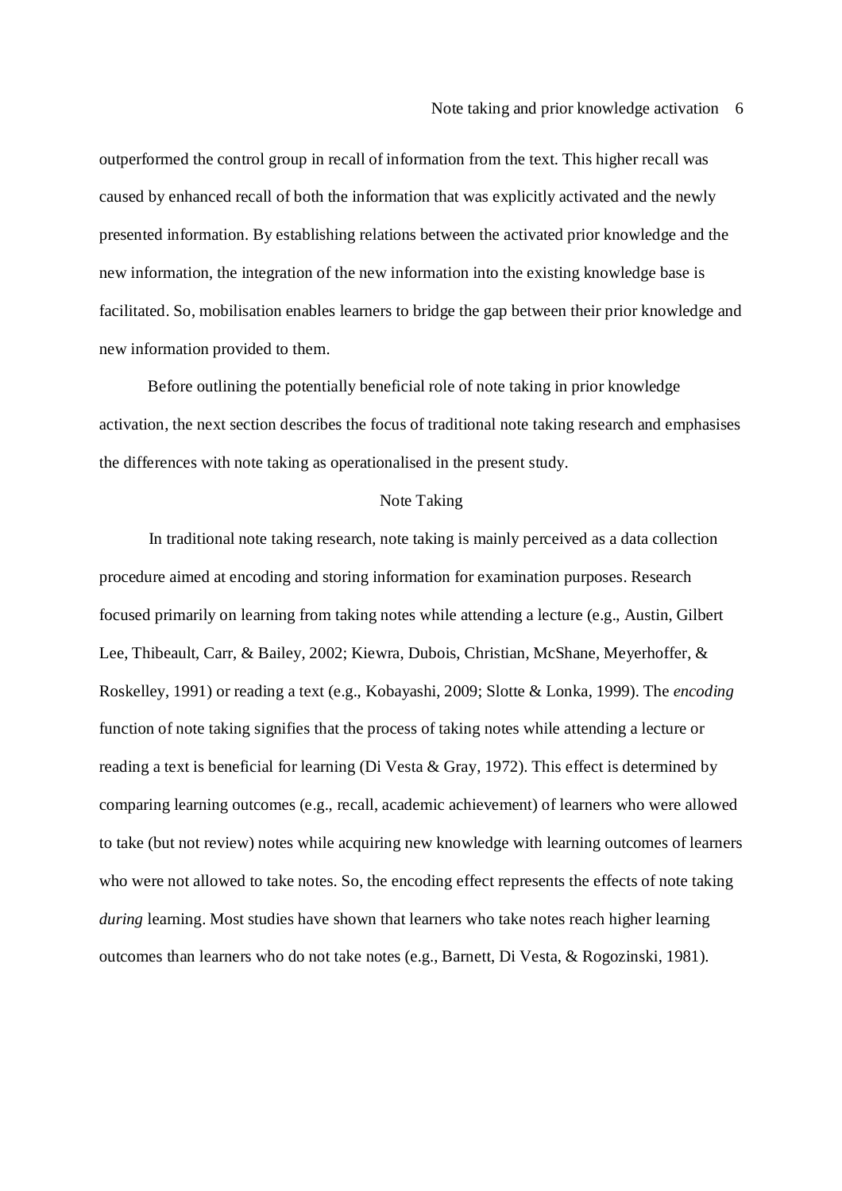outperformed the control group in recall of information from the text. This higher recall was caused by enhanced recall of both the information that was explicitly activated and the newly presented information. By establishing relations between the activated prior knowledge and the new information, the integration of the new information into the existing knowledge base is facilitated. So, mobilisation enables learners to bridge the gap between their prior knowledge and new information provided to them.

Before outlining the potentially beneficial role of note taking in prior knowledge activation, the next section describes the focus of traditional note taking research and emphasises the differences with note taking as operationalised in the present study.

#### Note Taking

In traditional note taking research, note taking is mainly perceived as a data collection procedure aimed at encoding and storing information for examination purposes. Research focused primarily on learning from taking notes while attending a lecture (e.g., Austin, Gilbert Lee, Thibeault, Carr, & Bailey, 2002; Kiewra, Dubois, Christian, McShane, Meyerhoffer, & Roskelley, 1991) or reading a text (e.g., Kobayashi, 2009; Slotte & Lonka, 1999). The *encoding* function of note taking signifies that the process of taking notes while attending a lecture or reading a text is beneficial for learning (Di Vesta & Gray, 1972). This effect is determined by comparing learning outcomes (e.g., recall, academic achievement) of learners who were allowed to take (but not review) notes while acquiring new knowledge with learning outcomes of learners who were not allowed to take notes. So, the encoding effect represents the effects of note taking *during* learning. Most studies have shown that learners who take notes reach higher learning outcomes than learners who do not take notes (e.g., Barnett, Di Vesta, & Rogozinski, 1981).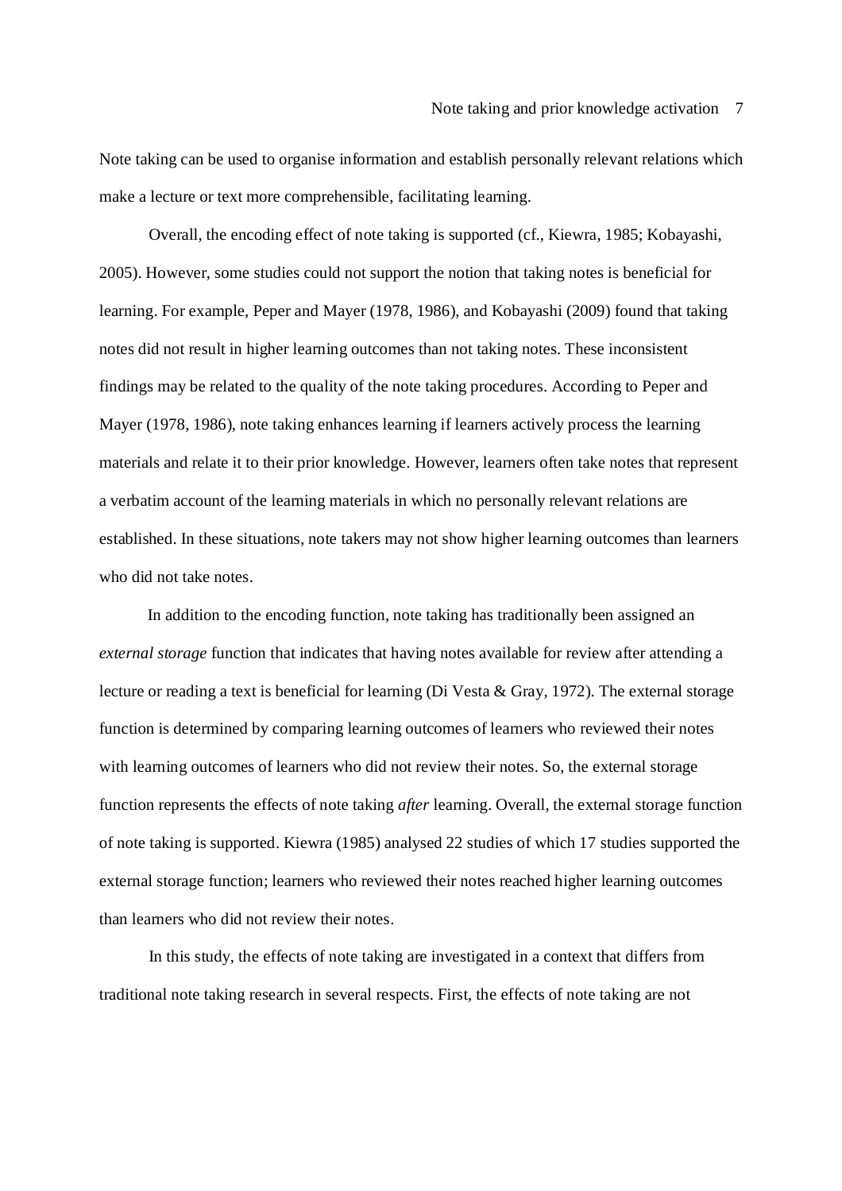Note taking can be used to organise information and establish personally relevant relations which make a lecture or text more comprehensible, facilitating learning.

Overall, the encoding effect of note taking is supported (cf., Kiewra, 1985; Kobayashi, 2005). However, some studies could not support the notion that taking notes is beneficial for learning. For example, Peper and Mayer (1978, 1986), and Kobayashi (2009) found that taking notes did not result in higher learning outcomes than not taking notes. These inconsistent findings may be related to the quality of the note taking procedures. According to Peper and Mayer (1978, 1986), note taking enhances learning if learners actively process the learning materials and relate it to their prior knowledge. However, learners often take notes that represent a verbatim account of the learning materials in which no personally relevant relations are established. In these situations, note takers may not show higher learning outcomes than learners who did not take notes.

In addition to the encoding function, note taking has traditionally been assigned an *external storage* function that indicates that having notes available for review after attending a lecture or reading a text is beneficial for learning (Di Vesta & Gray, 1972). The external storage function is determined by comparing learning outcomes of learners who reviewed their notes with learning outcomes of learners who did not review their notes. So, the external storage function represents the effects of note taking *after* learning. Overall, the external storage function of note taking is supported. Kiewra (1985) analysed 22 studies of which 17 studies supported the external storage function; learners who reviewed their notes reached higher learning outcomes than learners who did not review their notes.

In this study, the effects of note taking are investigated in a context that differs from traditional note taking research in several respects. First, the effects of note taking are not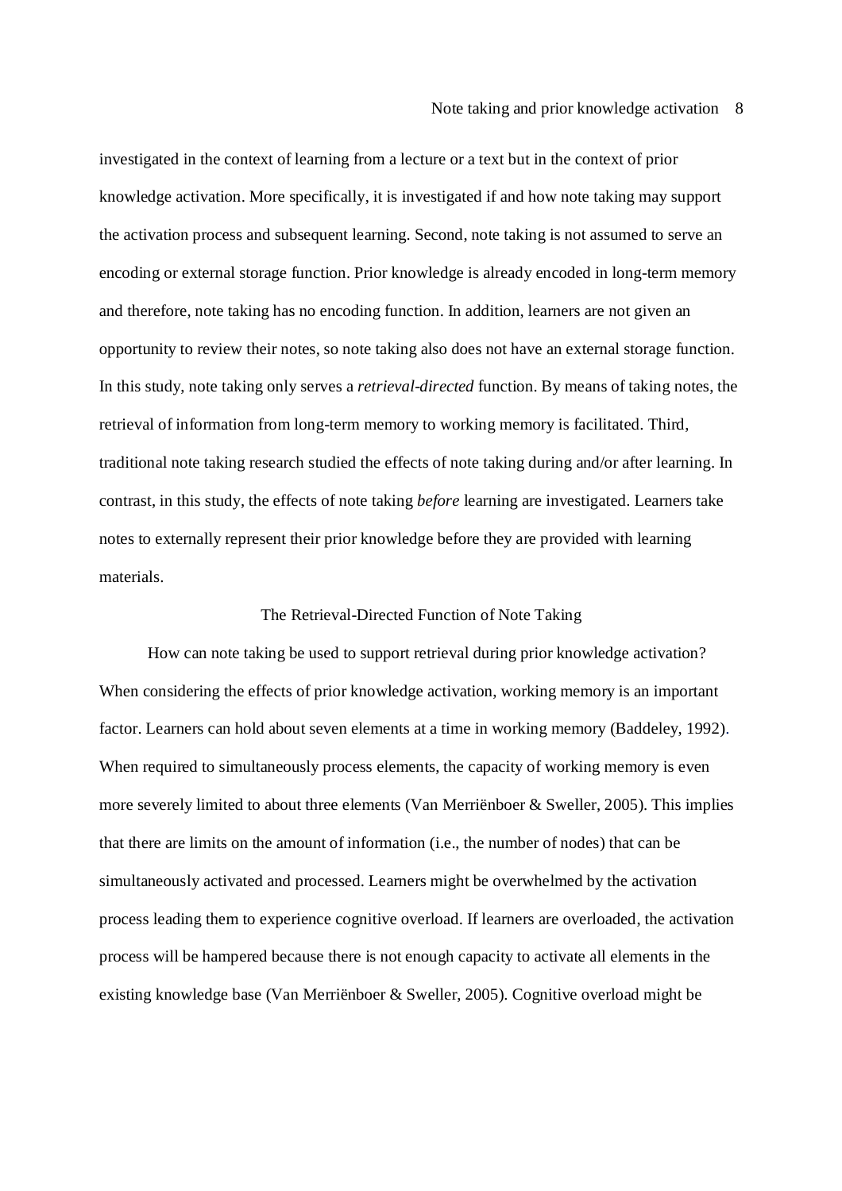investigated in the context of learning from a lecture or a text but in the context of prior knowledge activation. More specifically, it is investigated if and how note taking may support the activation process and subsequent learning. Second, note taking is not assumed to serve an encoding or external storage function. Prior knowledge is already encoded in long-term memory and therefore, note taking has no encoding function. In addition, learners are not given an opportunity to review their notes, so note taking also does not have an external storage function. In this study, note taking only serves a *retrieval-directed* function. By means of taking notes, the retrieval of information from long-term memory to working memory is facilitated. Third, traditional note taking research studied the effects of note taking during and/or after learning. In contrast, in this study, the effects of note taking *before* learning are investigated. Learners take notes to externally represent their prior knowledge before they are provided with learning materials.

### The Retrieval-Directed Function of Note Taking

How can note taking be used to support retrieval during prior knowledge activation? When considering the effects of prior knowledge activation, working memory is an important factor. Learners can hold about seven elements at a time in working memory (Baddeley, 1992). When required to simultaneously process elements, the capacity of working memory is even more severely limited to about three elements (Van Merriënboer & Sweller, 2005). This implies that there are limits on the amount of information (i.e., the number of nodes) that can be simultaneously activated and processed. Learners might be overwhelmed by the activation process leading them to experience cognitive overload. If learners are overloaded, the activation process will be hampered because there is not enough capacity to activate all elements in the existing knowledge base (Van Merriënboer & Sweller, 2005). Cognitive overload might be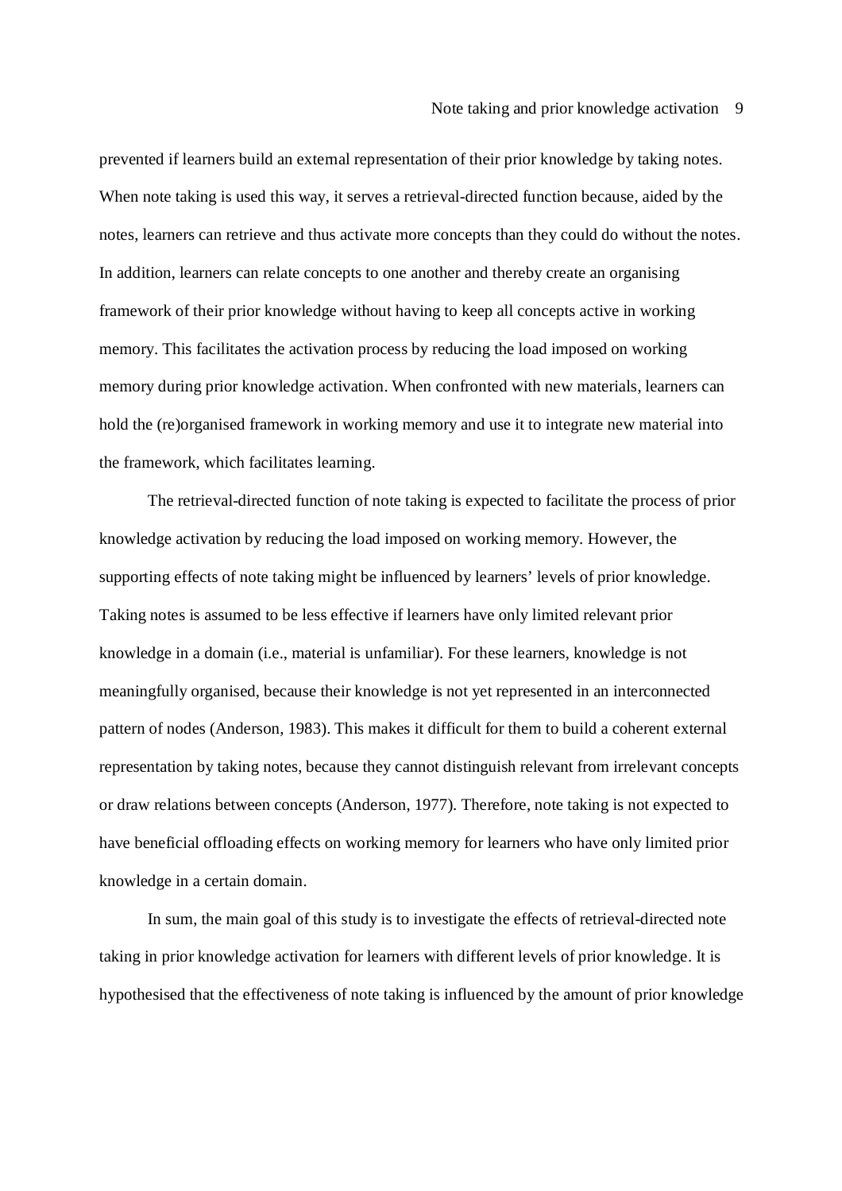prevented if learners build an external representation of their prior knowledge by taking notes. When note taking is used this way, it serves a retrieval-directed function because, aided by the notes, learners can retrieve and thus activate more concepts than they could do without the notes. In addition, learners can relate concepts to one another and thereby create an organising framework of their prior knowledge without having to keep all concepts active in working memory. This facilitates the activation process by reducing the load imposed on working memory during prior knowledge activation. When confronted with new materials, learners can hold the (re)organised framework in working memory and use it to integrate new material into the framework, which facilitates learning.

The retrieval-directed function of note taking is expected to facilitate the process of prior knowledge activation by reducing the load imposed on working memory. However, the supporting effects of note taking might be influenced by learners' levels of prior knowledge. Taking notes is assumed to be less effective if learners have only limited relevant prior knowledge in a domain (i.e., material is unfamiliar). For these learners, knowledge is not meaningfully organised, because their knowledge is not yet represented in an interconnected pattern of nodes (Anderson, 1983). This makes it difficult for them to build a coherent external representation by taking notes, because they cannot distinguish relevant from irrelevant concepts or draw relations between concepts (Anderson, 1977). Therefore, note taking is not expected to have beneficial offloading effects on working memory for learners who have only limited prior knowledge in a certain domain.

In sum, the main goal of this study is to investigate the effects of retrieval-directed note taking in prior knowledge activation for learners with different levels of prior knowledge. It is hypothesised that the effectiveness of note taking is influenced by the amount of prior knowledge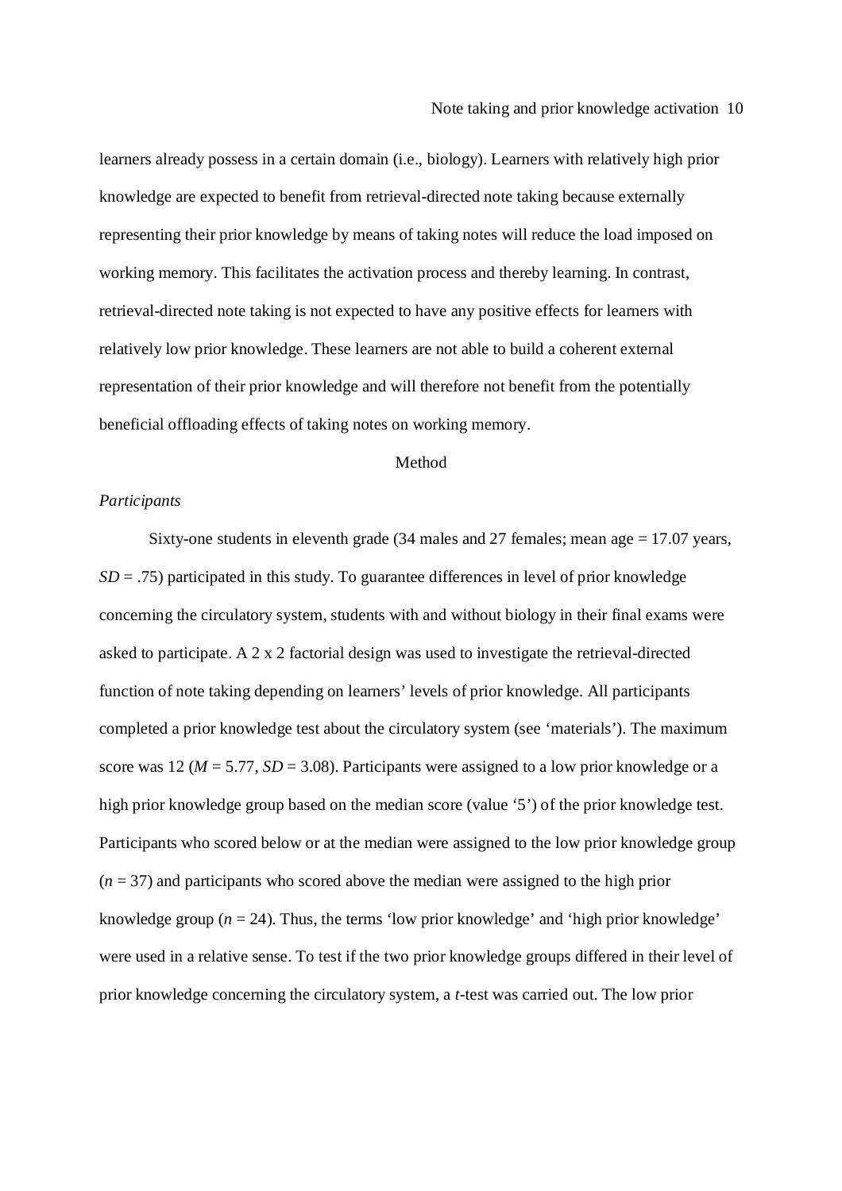learners already possess in a certain domain (i.e., biology). Learners with relatively high prior knowledge are expected to benefit from retrieval-directed note taking because externally representing their prior knowledge by means of taking notes will reduce the load imposed on working memory. This facilitates the activation process and thereby learning. In contrast, retrieval-directed note taking is not expected to have any positive effects for learners with relatively low prior knowledge. These learners are not able to build a coherent external representation of their prior knowledge and will therefore not benefit from the potentially beneficial offloading effects of taking notes on working memory.

### Method

#### *Participants*

Sixty-one students in eleventh grade (34 males and 27 females; mean age = 17.07 years,  $SD = .75$ ) participated in this study. To guarantee differences in level of prior knowledge concerning the circulatory system, students with and without biology in their final exams were asked to participate. A 2 x 2 factorial design was used to investigate the retrieval-directed function of note taking depending on learners' levels of prior knowledge. All participants completed a prior knowledge test about the circulatory system (see 'materials'). The maximum score was 12 ( $M = 5.77$ ,  $SD = 3.08$ ). Participants were assigned to a low prior knowledge or a high prior knowledge group based on the median score (value '5') of the prior knowledge test. Participants who scored below or at the median were assigned to the low prior knowledge group (*n* = 37) and participants who scored above the median were assigned to the high prior knowledge group (*n* = 24). Thus, the terms 'low prior knowledge' and 'high prior knowledge' were used in a relative sense. To test if the two prior knowledge groups differed in their level of prior knowledge concerning the circulatory system, a *t*-test was carried out. The low prior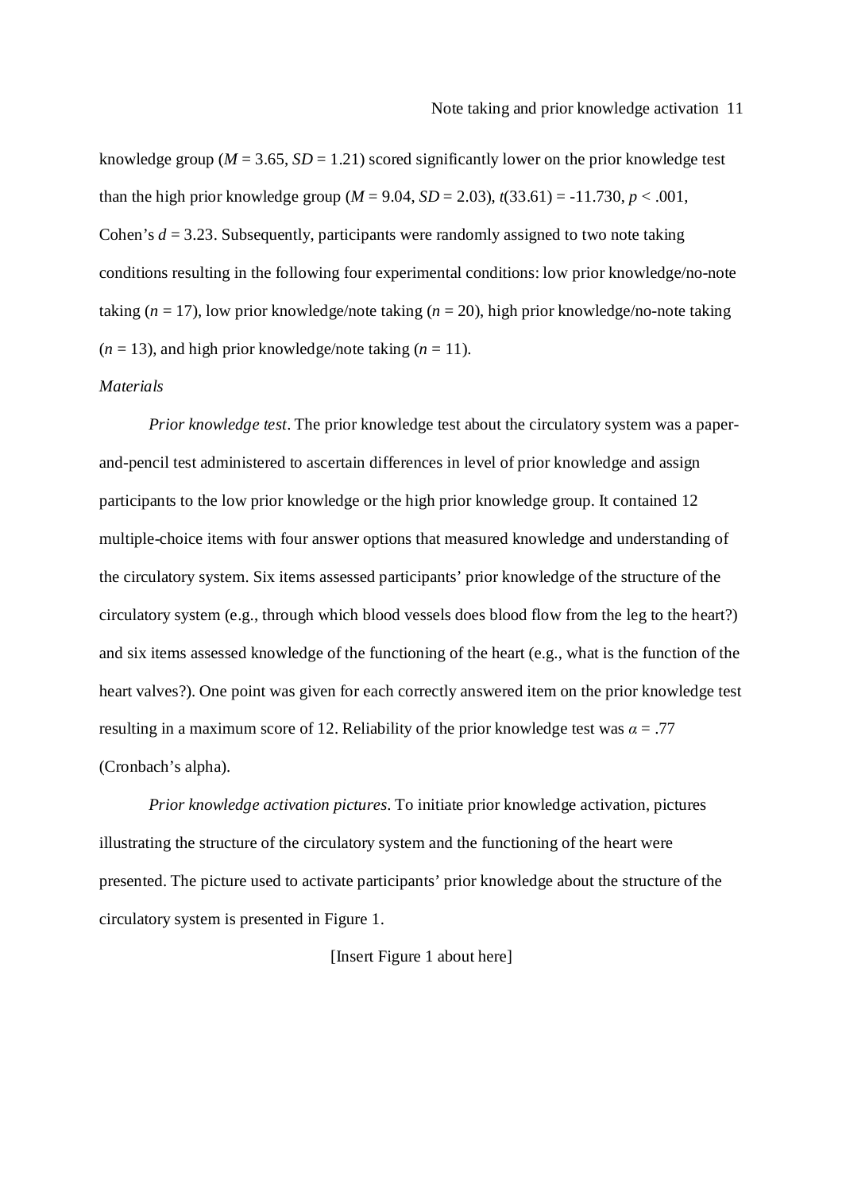knowledge group ( $M = 3.65$ ,  $SD = 1.21$ ) scored significantly lower on the prior knowledge test than the high prior knowledge group  $(M = 9.04, SD = 2.03)$ ,  $t(33.61) = -11.730, p < .001$ , Cohen's  $d = 3.23$ . Subsequently, participants were randomly assigned to two note taking conditions resulting in the following four experimental conditions: low prior knowledge/no-note taking  $(n = 17)$ , low prior knowledge/note taking  $(n = 20)$ , high prior knowledge/no-note taking  $(n = 13)$ , and high prior knowledge/note taking  $(n = 11)$ .

#### *Materials*

*Prior knowledge test*. The prior knowledge test about the circulatory system was a paperand-pencil test administered to ascertain differences in level of prior knowledge and assign participants to the low prior knowledge or the high prior knowledge group. It contained 12 multiple-choice items with four answer options that measured knowledge and understanding of the circulatory system. Six items assessed participants' prior knowledge of the structure of the circulatory system (e.g., through which blood vessels does blood flow from the leg to the heart?) and six items assessed knowledge of the functioning of the heart (e.g., what is the function of the heart valves?). One point was given for each correctly answered item on the prior knowledge test resulting in a maximum score of 12. Reliability of the prior knowledge test was  $\alpha = .77$ (Cronbach's alpha).

*Prior knowledge activation pictures.* To initiate prior knowledge activation, pictures illustrating the structure of the circulatory system and the functioning of the heart were presented. The picture used to activate participants' prior knowledge about the structure of the circulatory system is presented in Figure 1.

### [Insert Figure 1 about here]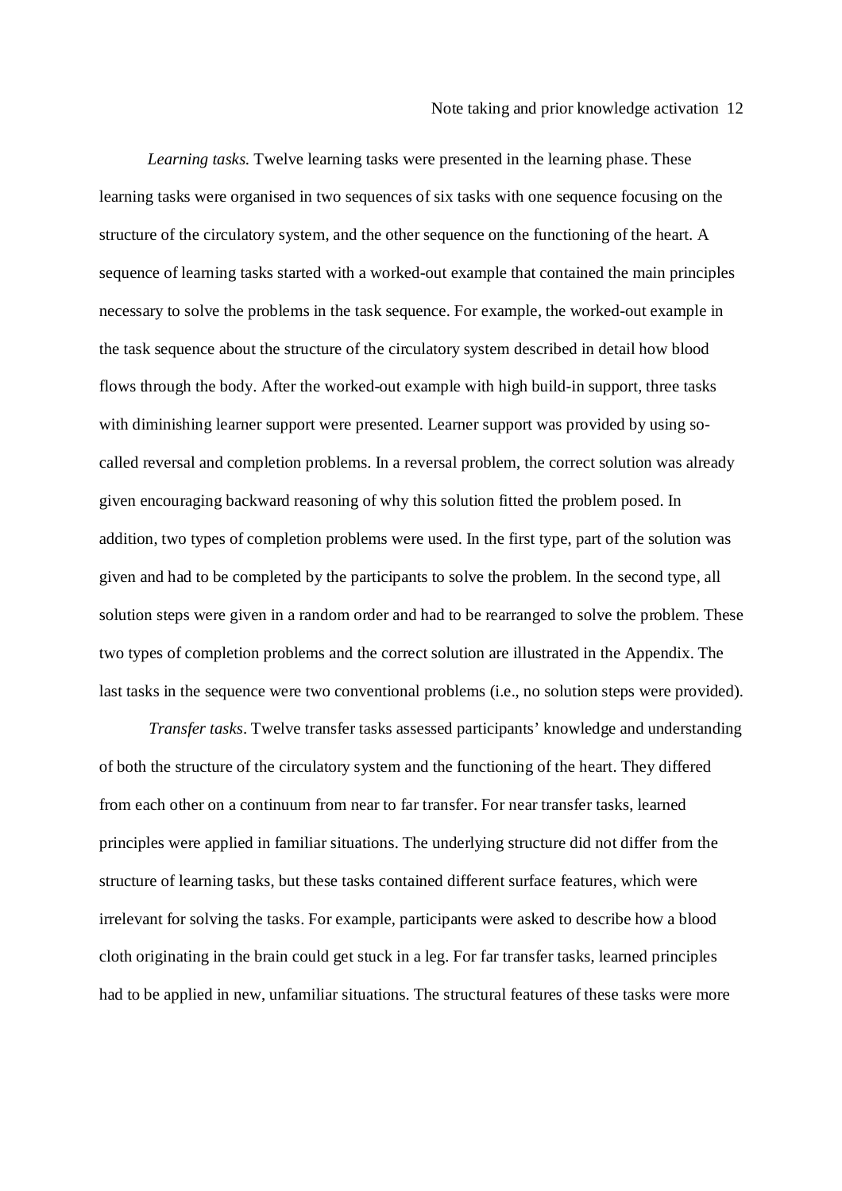*Learning tasks.* Twelve learning tasks were presented in the learning phase. These learning tasks were organised in two sequences of six tasks with one sequence focusing on the structure of the circulatory system, and the other sequence on the functioning of the heart. A sequence of learning tasks started with a worked-out example that contained the main principles necessary to solve the problems in the task sequence. For example, the worked-out example in the task sequence about the structure of the circulatory system described in detail how blood flows through the body. After the worked-out example with high build-in support, three tasks with diminishing learner support were presented. Learner support was provided by using socalled reversal and completion problems. In a reversal problem, the correct solution was already given encouraging backward reasoning of why this solution fitted the problem posed. In addition, two types of completion problems were used. In the first type, part of the solution was given and had to be completed by the participants to solve the problem. In the second type, all solution steps were given in a random order and had to be rearranged to solve the problem*.* These two types of completion problems and the correct solution are illustrated in the Appendix. The last tasks in the sequence were two conventional problems (i.e., no solution steps were provided).

*Transfer tasks*. Twelve transfer tasks assessed participants' knowledge and understanding of both the structure of the circulatory system and the functioning of the heart. They differed from each other on a continuum from near to far transfer. For near transfer tasks, learned principles were applied in familiar situations. The underlying structure did not differ from the structure of learning tasks, but these tasks contained different surface features, which were irrelevant for solving the tasks. For example, participants were asked to describe how a blood cloth originating in the brain could get stuck in a leg. For far transfer tasks, learned principles had to be applied in new, unfamiliar situations. The structural features of these tasks were more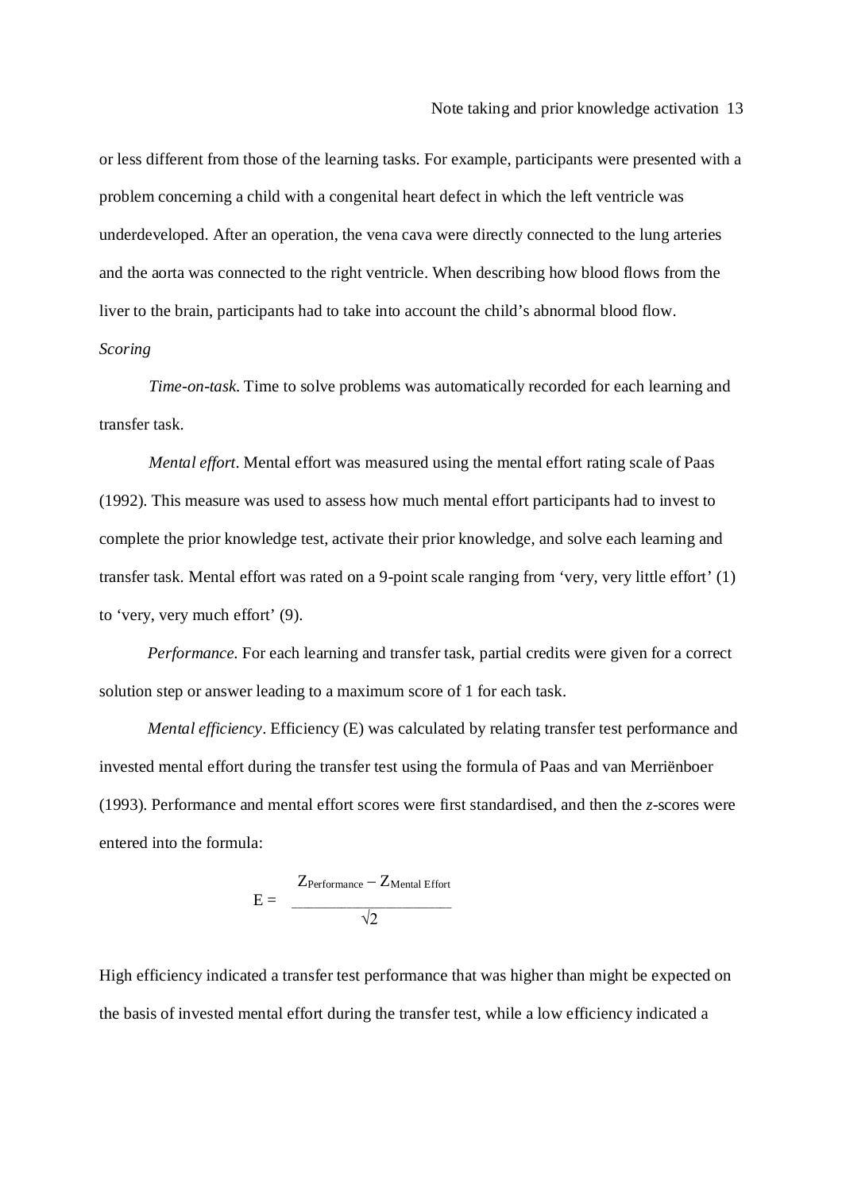or less different from those of the learning tasks. For example, participants were presented with a problem concerning a child with a congenital heart defect in which the left ventricle was underdeveloped. After an operation, the vena cava were directly connected to the lung arteries and the aorta was connected to the right ventricle. When describing how blood flows from the liver to the brain, participants had to take into account the child's abnormal blood flow. *Scoring*

*Time-on-task.* Time to solve problems was automatically recorded for each learning and transfer task.

*Mental effort*. Mental effort was measured using the mental effort rating scale of Paas (1992). This measure was used to assess how much mental effort participants had to invest to complete the prior knowledge test, activate their prior knowledge, and solve each learning and transfer task. Mental effort was rated on a 9-point scale ranging from 'very, very little effort' (1) to 'very, very much effort' (9).

*Performance.* For each learning and transfer task, partial credits were given for a correct solution step or answer leading to a maximum score of 1 for each task.

*Mental efficiency*. Efficiency (E) was calculated by relating transfer test performance and invested mental effort during the transfer test using the formula of Paas and van Merriënboer (1993). Performance and mental effort scores were first standardised, and then the *z*-scores were entered into the formula:

$$
E = \frac{Z_{\text{Performance}} - Z_{\text{Mental Effort}}}{\sqrt{2}}
$$

High efficiency indicated a transfer test performance that was higher than might be expected on the basis of invested mental effort during the transfer test, while a low efficiency indicated a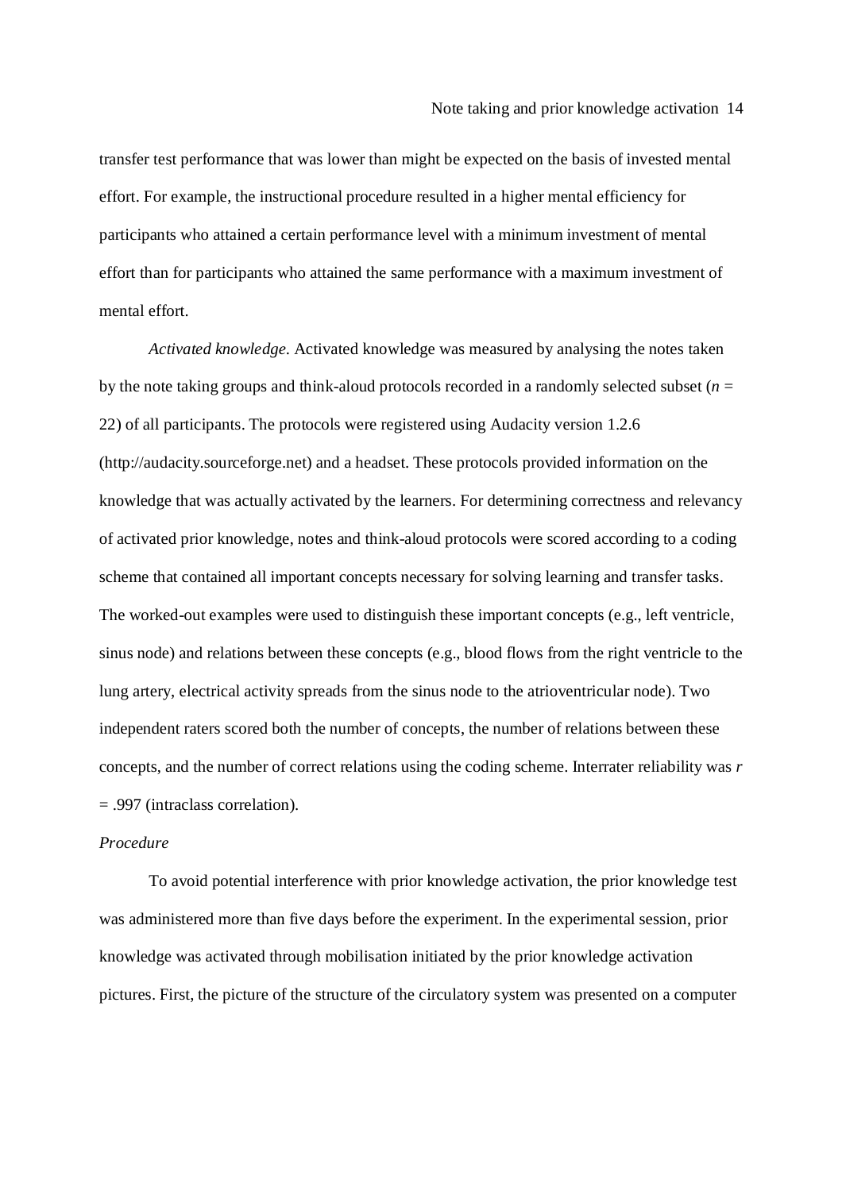transfer test performance that was lower than might be expected on the basis of invested mental effort. For example, the instructional procedure resulted in a higher mental efficiency for participants who attained a certain performance level with a minimum investment of mental effort than for participants who attained the same performance with a maximum investment of mental effort.

*Activated knowledge.* Activated knowledge was measured by analysing the notes taken by the note taking groups and think-aloud protocols recorded in a randomly selected subset  $(n =$ 22) of all participants. The protocols were registered using Audacity version 1.2.6 (http://audacity.sourceforge.net) and a headset. These protocols provided information on the knowledge that was actually activated by the learners. For determining correctness and relevancy of activated prior knowledge, notes and think-aloud protocols were scored according to a coding scheme that contained all important concepts necessary for solving learning and transfer tasks. The worked-out examples were used to distinguish these important concepts (e.g., left ventricle, sinus node) and relations between these concepts (e.g., blood flows from the right ventricle to the lung artery, electrical activity spreads from the sinus node to the atrioventricular node). Two independent raters scored both the number of concepts, the number of relations between these concepts, and the number of correct relations using the coding scheme. Interrater reliability was *r*  = .997 (intraclass correlation).

## *Procedure*

To avoid potential interference with prior knowledge activation, the prior knowledge test was administered more than five days before the experiment. In the experimental session, prior knowledge was activated through mobilisation initiated by the prior knowledge activation pictures. First, the picture of the structure of the circulatory system was presented on a computer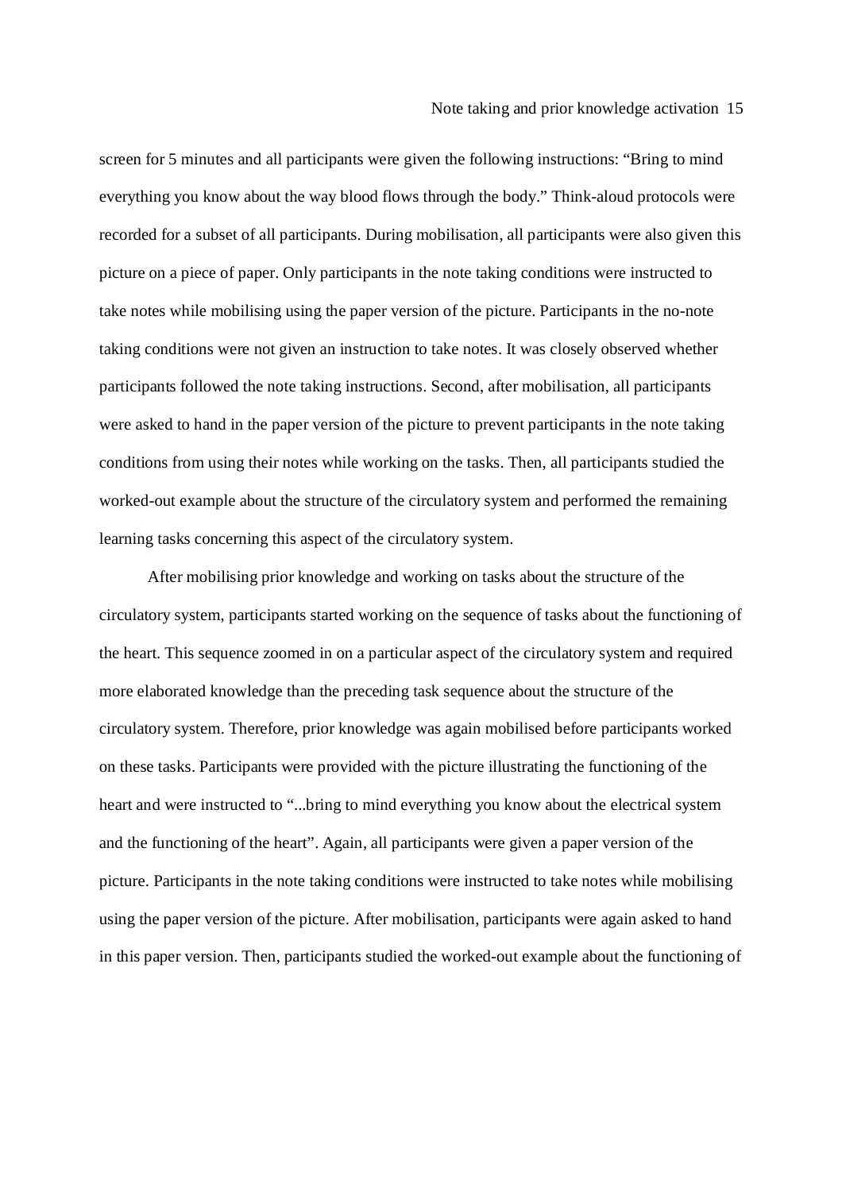screen for 5 minutes and all participants were given the following instructions: "Bring to mind everything you know about the way blood flows through the body." Think-aloud protocols were recorded for a subset of all participants. During mobilisation, all participants were also given this picture on a piece of paper. Only participants in the note taking conditions were instructed to take notes while mobilising using the paper version of the picture. Participants in the no-note taking conditions were not given an instruction to take notes. It was closely observed whether participants followed the note taking instructions. Second, after mobilisation, all participants were asked to hand in the paper version of the picture to prevent participants in the note taking conditions from using their notes while working on the tasks. Then, all participants studied the worked-out example about the structure of the circulatory system and performed the remaining learning tasks concerning this aspect of the circulatory system.

After mobilising prior knowledge and working on tasks about the structure of the circulatory system, participants started working on the sequence of tasks about the functioning of the heart. This sequence zoomed in on a particular aspect of the circulatory system and required more elaborated knowledge than the preceding task sequence about the structure of the circulatory system. Therefore, prior knowledge was again mobilised before participants worked on these tasks. Participants were provided with the picture illustrating the functioning of the heart and were instructed to "...bring to mind everything you know about the electrical system and the functioning of the heart". Again, all participants were given a paper version of the picture. Participants in the note taking conditions were instructed to take notes while mobilising using the paper version of the picture. After mobilisation, participants were again asked to hand in this paper version. Then, participants studied the worked-out example about the functioning of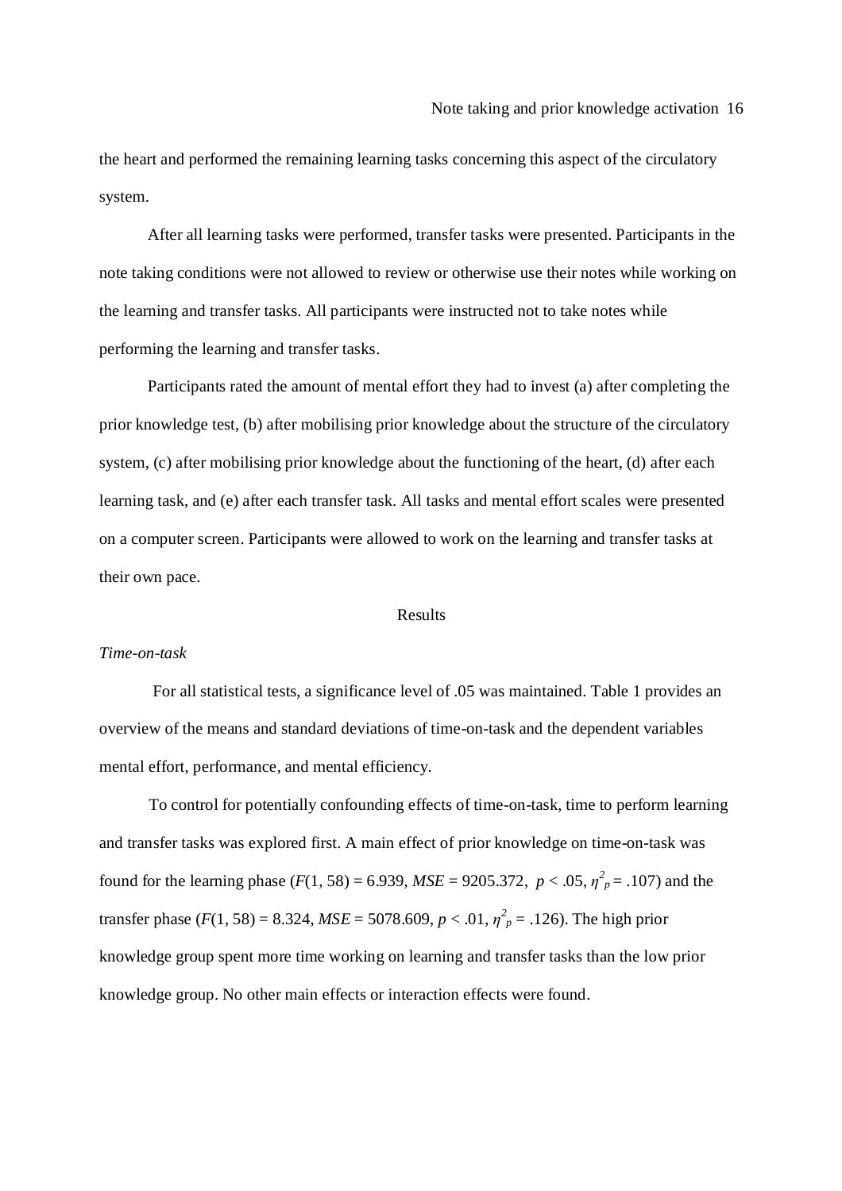the heart and performed the remaining learning tasks concerning this aspect of the circulatory system.

After all learning tasks were performed, transfer tasks were presented. Participants in the note taking conditions were not allowed to review or otherwise use their notes while working on the learning and transfer tasks. All participants were instructed not to take notes while performing the learning and transfer tasks.

Participants rated the amount of mental effort they had to invest (a) after completing the prior knowledge test, (b) after mobilising prior knowledge about the structure of the circulatory system, (c) after mobilising prior knowledge about the functioning of the heart, (d) after each learning task, and (e) after each transfer task. All tasks and mental effort scales were presented on a computer screen. Participants were allowed to work on the learning and transfer tasks at their own pace.

#### Results

## *Time-on-task*

For all statistical tests, a significance level of .05 was maintained. Table 1 provides an overview of the means and standard deviations of time-on-task and the dependent variables mental effort, performance, and mental efficiency.

To control for potentially confounding effects of time-on-task, time to perform learning and transfer tasks was explored first. A main effect of prior knowledge on time-on-task was found for the learning phase ( $F(1, 58) = 6.939$ ,  $MSE = 9205.372$ ,  $p < .05$ ,  $\eta^2 p = .107$ ) and the transfer phase ( $F(1, 58) = 8.324$ ,  $MSE = 5078.609$ ,  $p < .01$ ,  $\eta_p^2 = .126$ ). The high prior knowledge group spent more time working on learning and transfer tasks than the low prior knowledge group. No other main effects or interaction effects were found.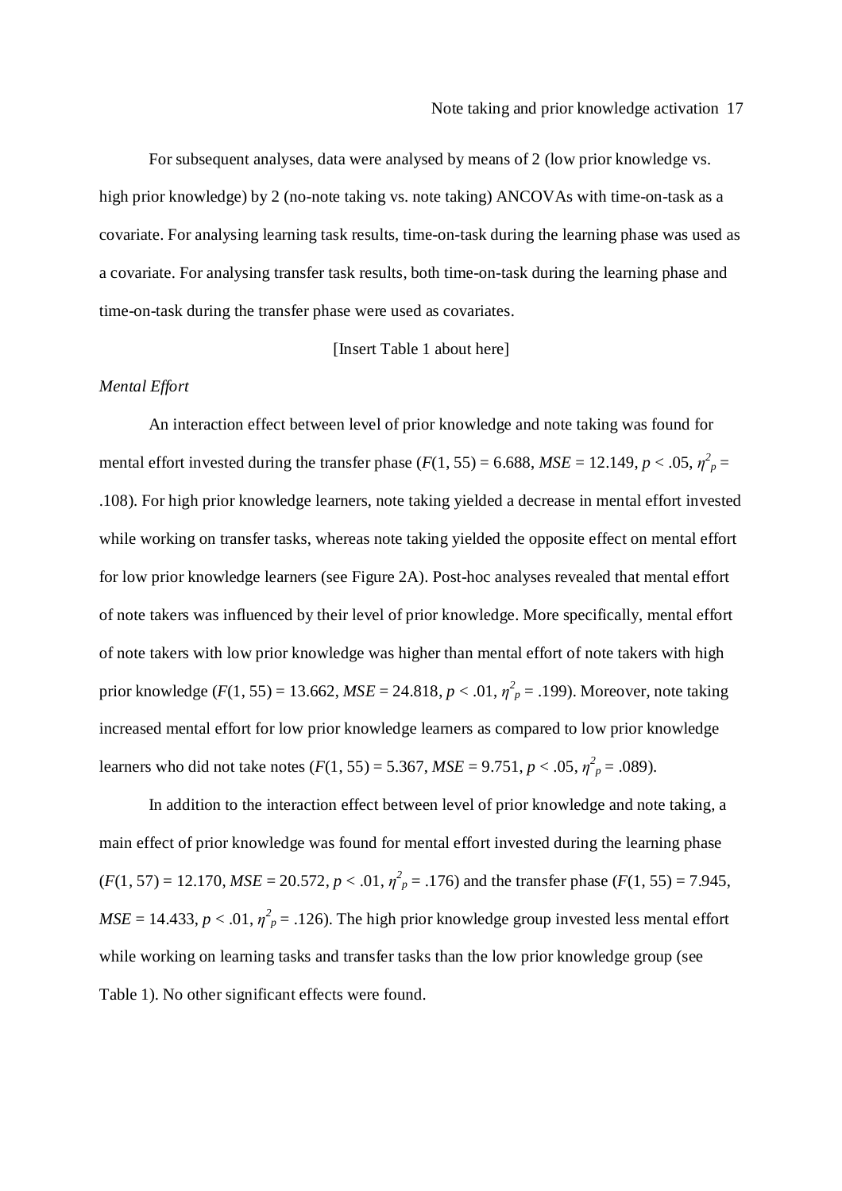For subsequent analyses, data were analysed by means of 2 (low prior knowledge vs. high prior knowledge) by 2 (no-note taking vs. note taking) ANCOVAs with time-on-task as a covariate. For analysing learning task results, time-on-task during the learning phase was used as a covariate. For analysing transfer task results, both time-on-task during the learning phase and time-on-task during the transfer phase were used as covariates.

[Insert Table 1 about here]

## *Mental Effort*

An interaction effect between level of prior knowledge and note taking was found for mental effort invested during the transfer phase  $(F(1, 55) = 6.688, MSE = 12.149, p < .05, \eta^2_p =$ .108). For high prior knowledge learners, note taking yielded a decrease in mental effort invested while working on transfer tasks, whereas note taking yielded the opposite effect on mental effort for low prior knowledge learners (see Figure 2A). Post-hoc analyses revealed that mental effort of note takers was influenced by their level of prior knowledge. More specifically, mental effort of note takers with low prior knowledge was higher than mental effort of note takers with high prior knowledge ( $F(1, 55) = 13.662$ ,  $MSE = 24.818$ ,  $p < .01$ ,  $\eta_p^2 = .199$ ). Moreover, note taking increased mental effort for low prior knowledge learners as compared to low prior knowledge learners who did not take notes  $(F(1, 55) = 5.367, MSE = 9.751, p < .05, \eta^2_p = .089)$ .

In addition to the interaction effect between level of prior knowledge and note taking, a main effect of prior knowledge was found for mental effort invested during the learning phase  $(F(1, 57) = 12.170$ ,  $MSE = 20.572$ ,  $p < .01$ ,  $\eta^2 p = .176$ ) and the transfer phase ( $F(1, 55) = 7.945$ ,  $MSE = 14.433, p < .01, \eta^2_p = .126$ . The high prior knowledge group invested less mental effort while working on learning tasks and transfer tasks than the low prior knowledge group (see Table 1). No other significant effects were found.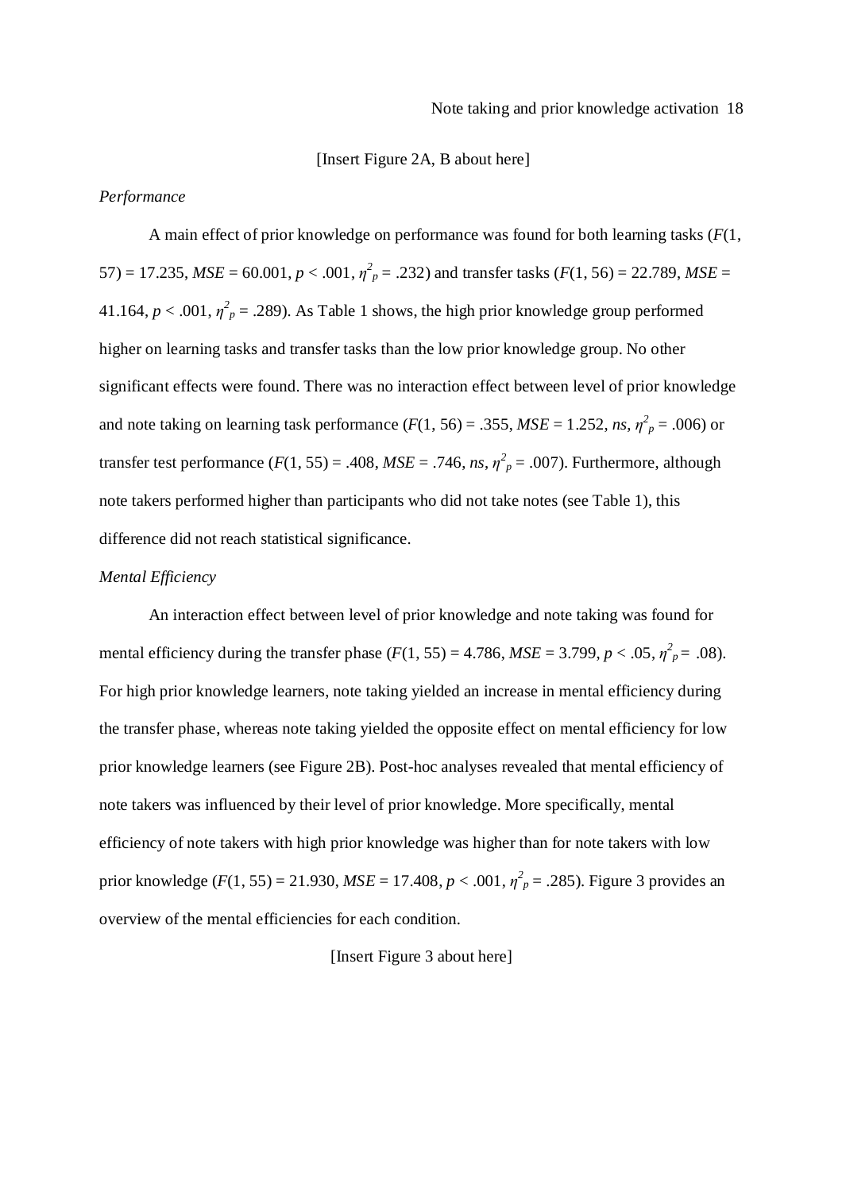#### [Insert Figure 2A, B about here]

### *Performance*

A main effect of prior knowledge on performance was found for both learning tasks (*F*(1, 57) = 17.235,  $MSE = 60.001$ ,  $p < .001$ ,  $\eta^2 p = .232$ ) and transfer tasks ( $F(1, 56) = 22.789$ ,  $MSE =$ 41.164,  $p < .001$ ,  $\eta^2 p = .289$ ). As Table 1 shows, the high prior knowledge group performed higher on learning tasks and transfer tasks than the low prior knowledge group. No other significant effects were found. There was no interaction effect between level of prior knowledge and note taking on learning task performance ( $F(1, 56) = .355$ ,  $MSE = 1.252$ , *ns*,  $\eta_p^2 = .006$ ) or transfer test performance  $(F(1, 55) = .408$ ,  $MSE = .746$ , *ns*,  $\eta^2_p = .007$ ). Furthermore, although note takers performed higher than participants who did not take notes (see Table 1), this difference did not reach statistical significance.

## *Mental Efficiency*

An interaction effect between level of prior knowledge and note taking was found for mental efficiency during the transfer phase  $(F(1, 55) = 4.786$ ,  $MSE = 3.799$ ,  $p < .05$ ,  $\eta^2_p = .08$ ). For high prior knowledge learners, note taking yielded an increase in mental efficiency during the transfer phase, whereas note taking yielded the opposite effect on mental efficiency for low prior knowledge learners (see Figure 2B). Post-hoc analyses revealed that mental efficiency of note takers was influenced by their level of prior knowledge. More specifically, mental efficiency of note takers with high prior knowledge was higher than for note takers with low prior knowledge ( $F(1, 55) = 21.930$ ,  $MSE = 17.408$ ,  $p < .001$ ,  $\eta^2_p = .285$ ). Figure 3 provides an overview of the mental efficiencies for each condition.

## [Insert Figure 3 about here]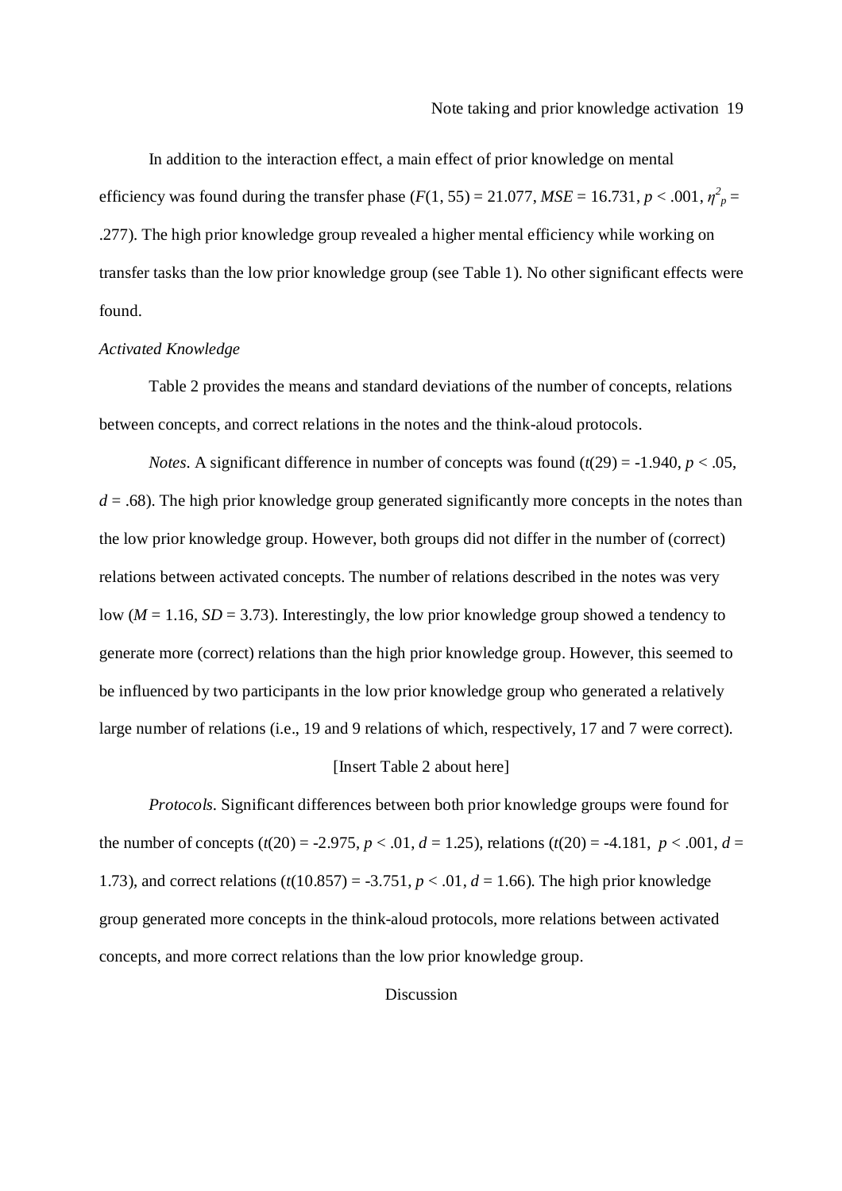In addition to the interaction effect, a main effect of prior knowledge on mental efficiency was found during the transfer phase ( $F(1, 55) = 21.077$ ,  $MSE = 16.731$ ,  $p < .001$ ,  $\eta_p^2 =$ .277). The high prior knowledge group revealed a higher mental efficiency while working on transfer tasks than the low prior knowledge group (see Table 1). No other significant effects were found.

### *Activated Knowledge*

Table 2 provides the means and standard deviations of the number of concepts, relations between concepts, and correct relations in the notes and the think-aloud protocols.

*Notes.* A significant difference in number of concepts was found  $(t(29) = -1.940, p < .05$ ,  $d = .68$ ). The high prior knowledge group generated significantly more concepts in the notes than the low prior knowledge group. However, both groups did not differ in the number of (correct) relations between activated concepts. The number of relations described in the notes was very low ( $M = 1.16$ ,  $SD = 3.73$ ). Interestingly, the low prior knowledge group showed a tendency to generate more (correct) relations than the high prior knowledge group. However, this seemed to be influenced by two participants in the low prior knowledge group who generated a relatively large number of relations (i.e., 19 and 9 relations of which, respectively, 17 and 7 were correct).

### [Insert Table 2 about here]

*Protocols.* Significant differences between both prior knowledge groups were found for the number of concepts  $(t(20) = -2.975, p < .01, d = 1.25)$ , relations  $(t(20) = -4.181, p < .001, d =$ 1.73), and correct relations  $(t(10.857) = -3.751, p < .01, d = 1.66)$ . The high prior knowledge group generated more concepts in the think-aloud protocols, more relations between activated concepts, and more correct relations than the low prior knowledge group.

### Discussion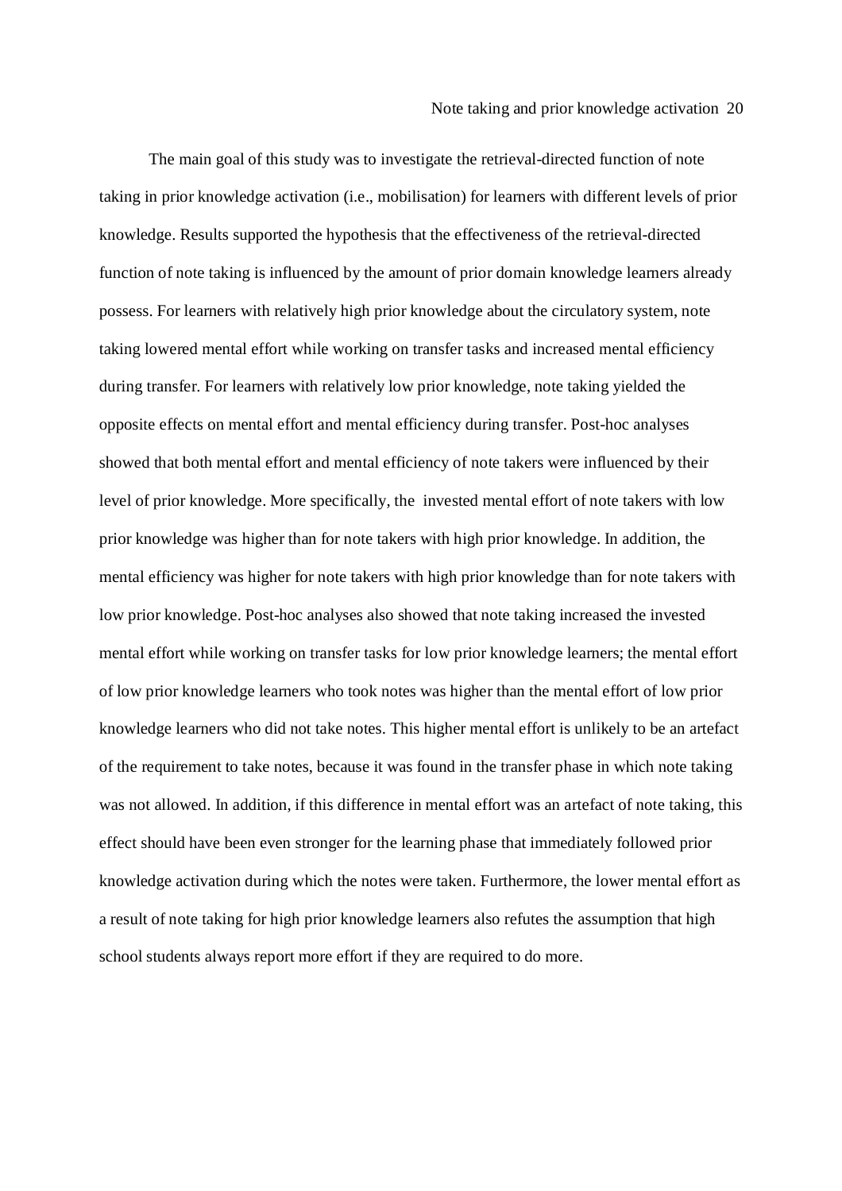The main goal of this study was to investigate the retrieval-directed function of note taking in prior knowledge activation (i.e., mobilisation) for learners with different levels of prior knowledge. Results supported the hypothesis that the effectiveness of the retrieval-directed function of note taking is influenced by the amount of prior domain knowledge learners already possess. For learners with relatively high prior knowledge about the circulatory system, note taking lowered mental effort while working on transfer tasks and increased mental efficiency during transfer. For learners with relatively low prior knowledge, note taking yielded the opposite effects on mental effort and mental efficiency during transfer. Post-hoc analyses showed that both mental effort and mental efficiency of note takers were influenced by their level of prior knowledge. More specifically, the invested mental effort of note takers with low prior knowledge was higher than for note takers with high prior knowledge. In addition, the mental efficiency was higher for note takers with high prior knowledge than for note takers with low prior knowledge. Post-hoc analyses also showed that note taking increased the invested mental effort while working on transfer tasks for low prior knowledge learners; the mental effort of low prior knowledge learners who took notes was higher than the mental effort of low prior knowledge learners who did not take notes. This higher mental effort is unlikely to be an artefact of the requirement to take notes, because it was found in the transfer phase in which note taking was not allowed. In addition, if this difference in mental effort was an artefact of note taking, this effect should have been even stronger for the learning phase that immediately followed prior knowledge activation during which the notes were taken. Furthermore, the lower mental effort as a result of note taking for high prior knowledge learners also refutes the assumption that high school students always report more effort if they are required to do more.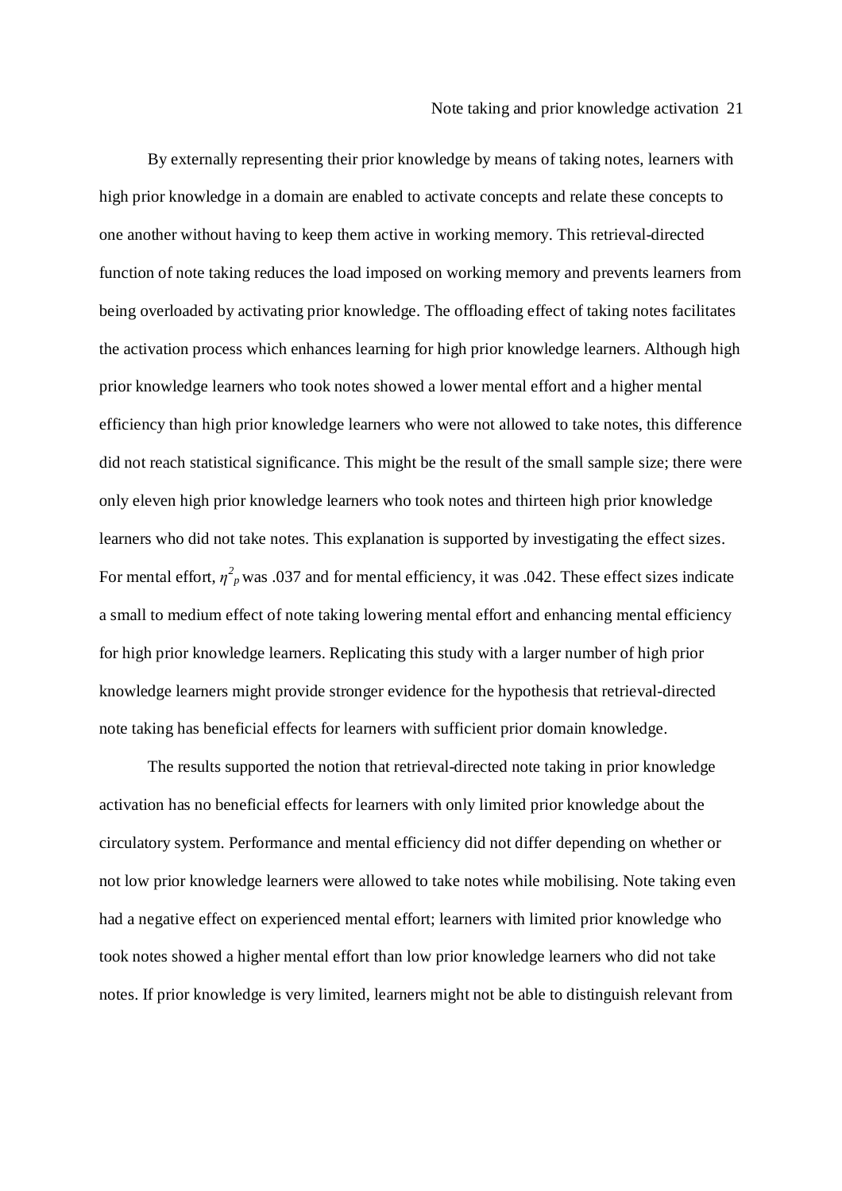By externally representing their prior knowledge by means of taking notes, learners with high prior knowledge in a domain are enabled to activate concepts and relate these concepts to one another without having to keep them active in working memory. This retrieval-directed function of note taking reduces the load imposed on working memory and prevents learners from being overloaded by activating prior knowledge. The offloading effect of taking notes facilitates the activation process which enhances learning for high prior knowledge learners. Although high prior knowledge learners who took notes showed a lower mental effort and a higher mental efficiency than high prior knowledge learners who were not allowed to take notes, this difference did not reach statistical significance. This might be the result of the small sample size; there were only eleven high prior knowledge learners who took notes and thirteen high prior knowledge learners who did not take notes. This explanation is supported by investigating the effect sizes. For mental effort,  $\eta^2$ <sub>*p*</sub> was .037 and for mental efficiency, it was .042. These effect sizes indicate a small to medium effect of note taking lowering mental effort and enhancing mental efficiency for high prior knowledge learners. Replicating this study with a larger number of high prior knowledge learners might provide stronger evidence for the hypothesis that retrieval-directed note taking has beneficial effects for learners with sufficient prior domain knowledge.

The results supported the notion that retrieval-directed note taking in prior knowledge activation has no beneficial effects for learners with only limited prior knowledge about the circulatory system. Performance and mental efficiency did not differ depending on whether or not low prior knowledge learners were allowed to take notes while mobilising. Note taking even had a negative effect on experienced mental effort; learners with limited prior knowledge who took notes showed a higher mental effort than low prior knowledge learners who did not take notes. If prior knowledge is very limited, learners might not be able to distinguish relevant from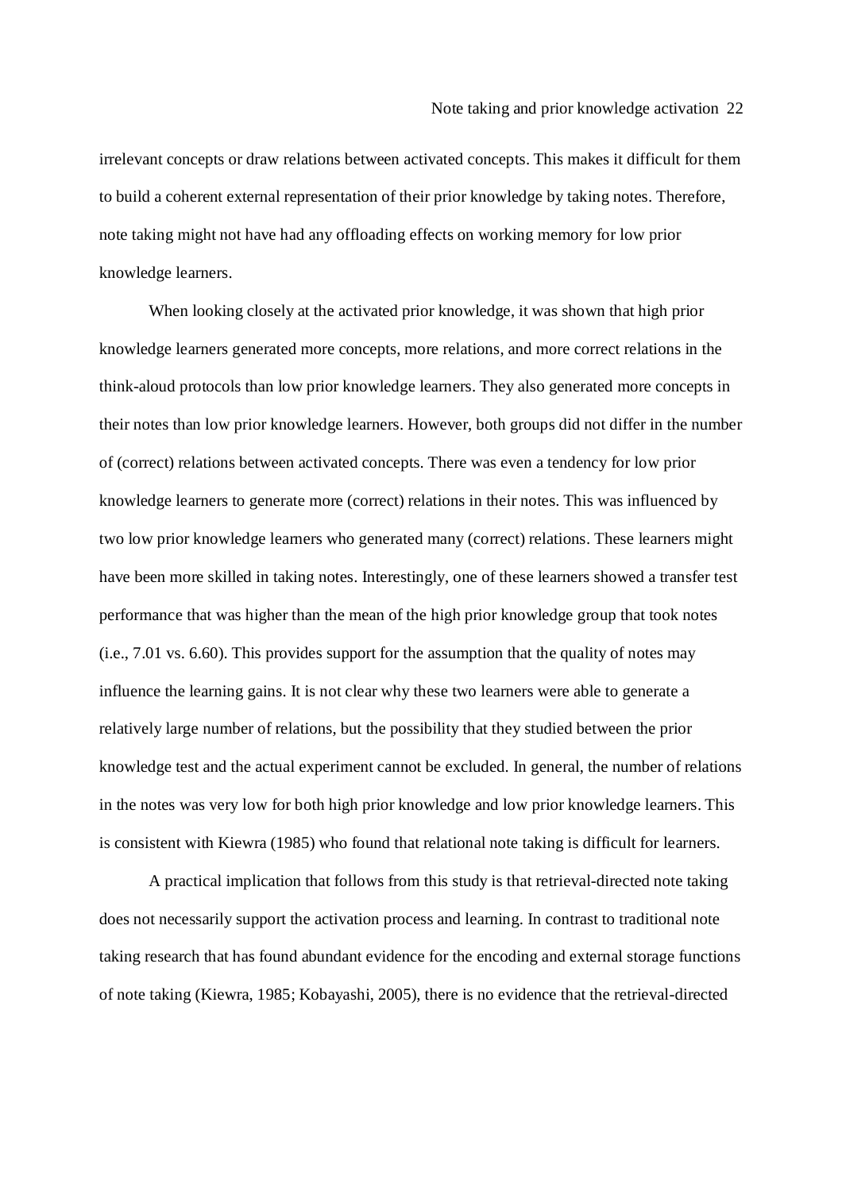irrelevant concepts or draw relations between activated concepts. This makes it difficult for them to build a coherent external representation of their prior knowledge by taking notes. Therefore, note taking might not have had any offloading effects on working memory for low prior knowledge learners.

When looking closely at the activated prior knowledge, it was shown that high prior knowledge learners generated more concepts, more relations, and more correct relations in the think-aloud protocols than low prior knowledge learners. They also generated more concepts in their notes than low prior knowledge learners. However, both groups did not differ in the number of (correct) relations between activated concepts. There was even a tendency for low prior knowledge learners to generate more (correct) relations in their notes. This was influenced by two low prior knowledge learners who generated many (correct) relations. These learners might have been more skilled in taking notes. Interestingly, one of these learners showed a transfer test performance that was higher than the mean of the high prior knowledge group that took notes (i.e., 7.01 vs. 6.60). This provides support for the assumption that the quality of notes may influence the learning gains. It is not clear why these two learners were able to generate a relatively large number of relations, but the possibility that they studied between the prior knowledge test and the actual experiment cannot be excluded. In general, the number of relations in the notes was very low for both high prior knowledge and low prior knowledge learners. This is consistent with Kiewra (1985) who found that relational note taking is difficult for learners.

A practical implication that follows from this study is that retrieval-directed note taking does not necessarily support the activation process and learning. In contrast to traditional note taking research that has found abundant evidence for the encoding and external storage functions of note taking (Kiewra, 1985; Kobayashi, 2005), there is no evidence that the retrieval-directed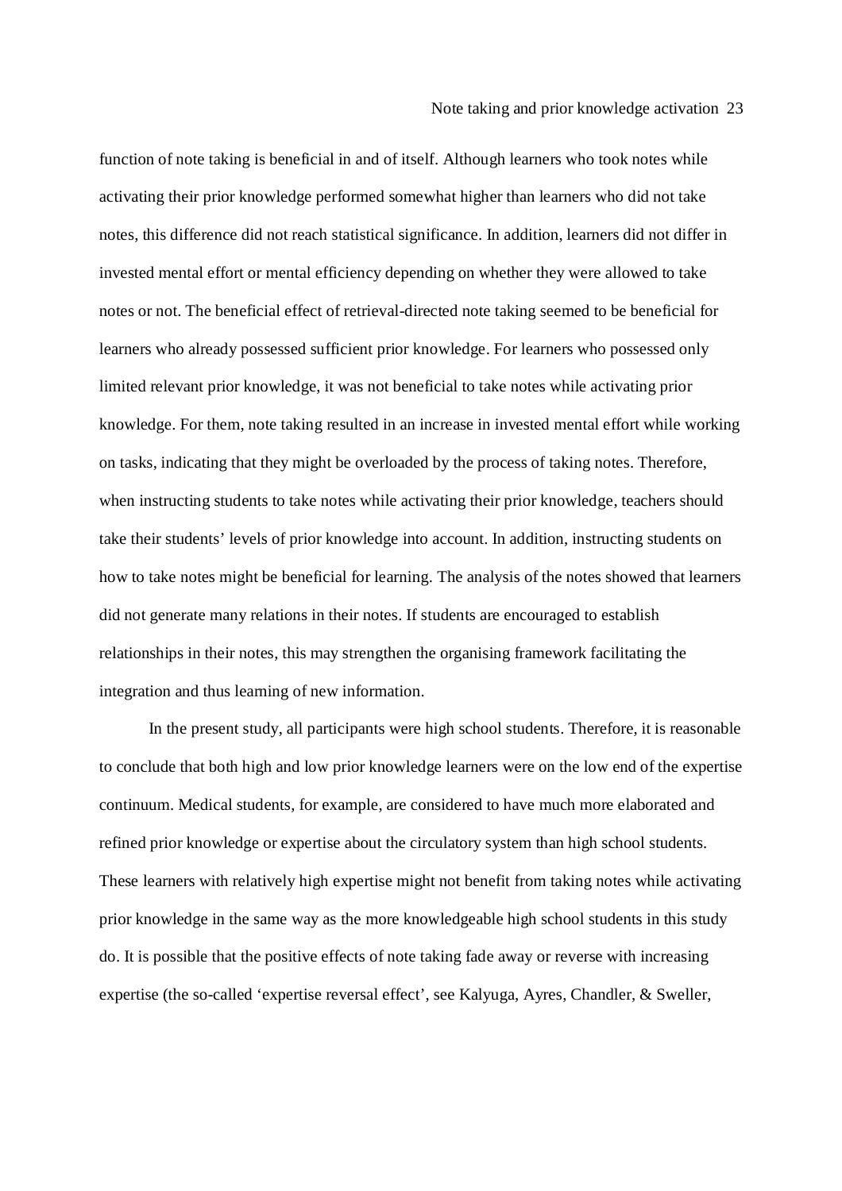function of note taking is beneficial in and of itself. Although learners who took notes while activating their prior knowledge performed somewhat higher than learners who did not take notes, this difference did not reach statistical significance. In addition, learners did not differ in invested mental effort or mental efficiency depending on whether they were allowed to take notes or not. The beneficial effect of retrieval-directed note taking seemed to be beneficial for learners who already possessed sufficient prior knowledge. For learners who possessed only limited relevant prior knowledge, it was not beneficial to take notes while activating prior knowledge. For them, note taking resulted in an increase in invested mental effort while working on tasks, indicating that they might be overloaded by the process of taking notes. Therefore, when instructing students to take notes while activating their prior knowledge, teachers should take their students' levels of prior knowledge into account. In addition, instructing students on how to take notes might be beneficial for learning. The analysis of the notes showed that learners did not generate many relations in their notes. If students are encouraged to establish relationships in their notes, this may strengthen the organising framework facilitating the integration and thus learning of new information.

In the present study, all participants were high school students. Therefore, it is reasonable to conclude that both high and low prior knowledge learners were on the low end of the expertise continuum. Medical students, for example, are considered to have much more elaborated and refined prior knowledge or expertise about the circulatory system than high school students. These learners with relatively high expertise might not benefit from taking notes while activating prior knowledge in the same way as the more knowledgeable high school students in this study do. It is possible that the positive effects of note taking fade away or reverse with increasing expertise (the so-called 'expertise reversal effect', see Kalyuga, Ayres, Chandler, & Sweller,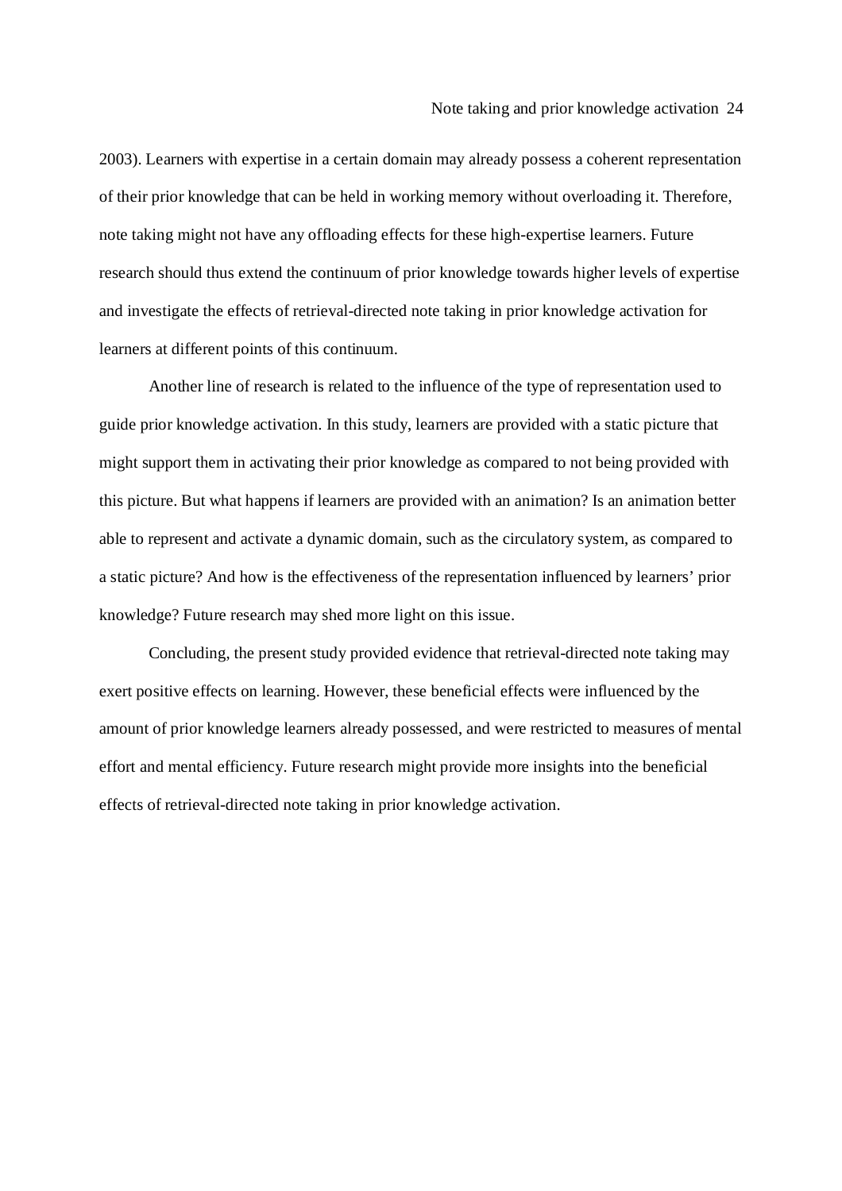2003). Learners with expertise in a certain domain may already possess a coherent representation of their prior knowledge that can be held in working memory without overloading it. Therefore, note taking might not have any offloading effects for these high-expertise learners. Future research should thus extend the continuum of prior knowledge towards higher levels of expertise and investigate the effects of retrieval-directed note taking in prior knowledge activation for learners at different points of this continuum.

Another line of research is related to the influence of the type of representation used to guide prior knowledge activation. In this study, learners are provided with a static picture that might support them in activating their prior knowledge as compared to not being provided with this picture. But what happens if learners are provided with an animation? Is an animation better able to represent and activate a dynamic domain, such as the circulatory system, as compared to a static picture? And how is the effectiveness of the representation influenced by learners' prior knowledge? Future research may shed more light on this issue.

Concluding, the present study provided evidence that retrieval-directed note taking may exert positive effects on learning. However, these beneficial effects were influenced by the amount of prior knowledge learners already possessed, and were restricted to measures of mental effort and mental efficiency. Future research might provide more insights into the beneficial effects of retrieval-directed note taking in prior knowledge activation.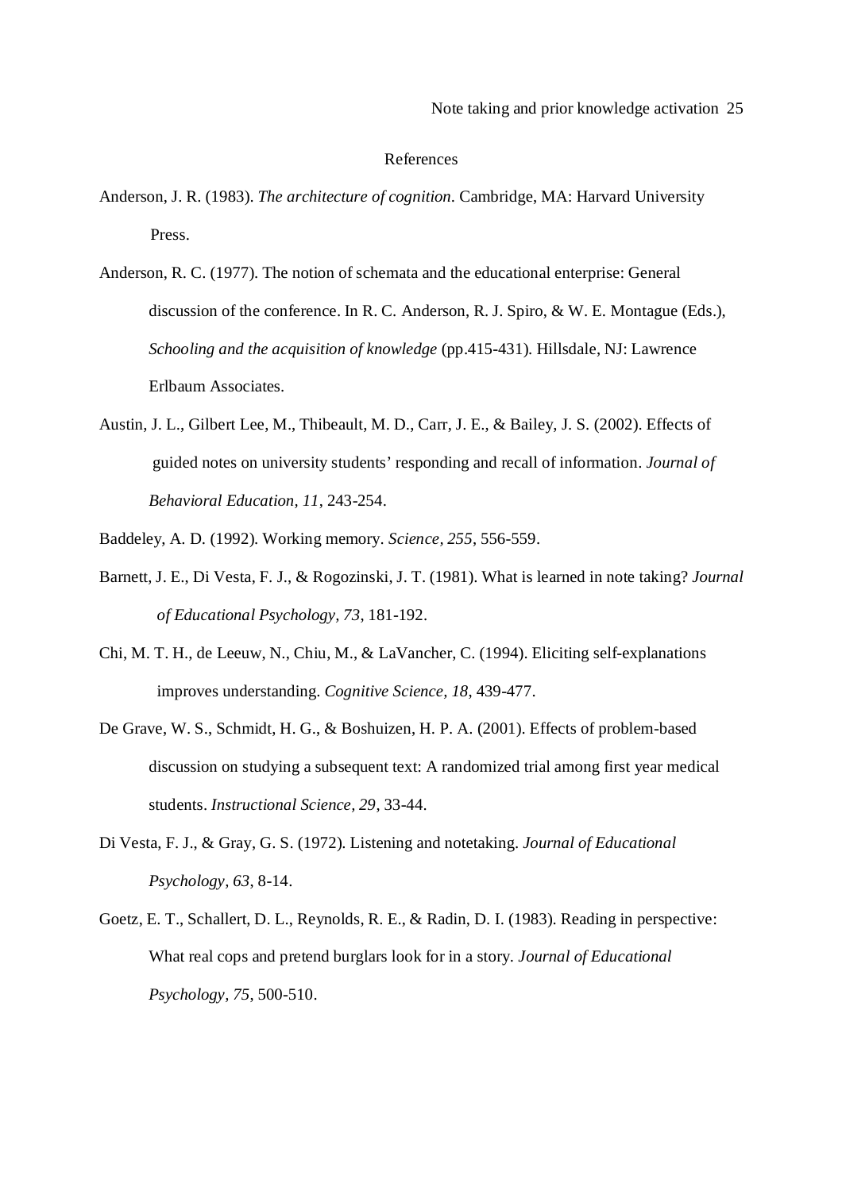#### References

- Anderson, J. R. (1983). *The architecture of cognition.* Cambridge, MA: Harvard University Press.
- Anderson, R. C. (1977). The notion of schemata and the educational enterprise: General discussion of the conference. In R. C. Anderson, R. J. Spiro, & W. E. Montague (Eds.), *Schooling and the acquisition of knowledge* (pp.415-431). Hillsdale, NJ: Lawrence Erlbaum Associates.
- Austin, J. L., Gilbert Lee, M., Thibeault, M. D., Carr, J. E., & Bailey, J. S. (2002). Effects of guided notes on university students' responding and recall of information. *Journal of Behavioral Education, 11*, 243-254.
- Baddeley, A. D. (1992). Working memory. *Science, 255*, 556-559.
- Barnett, J. E., Di Vesta, F. J., & Rogozinski, J. T. (1981). What is learned in note taking? *Journal of Educational Psychology, 73*, 181-192.
- Chi, M. T. H., de Leeuw, N., Chiu, M., & LaVancher, C. (1994). Eliciting self-explanations improves understanding. *Cognitive Science, 18*, 439-477.
- De Grave, W. S., Schmidt, H. G., & Boshuizen, H. P. A. (2001). Effects of problem-based discussion on studying a subsequent text: A randomized trial among first year medical students. *Instructional Science, 29*, 33-44.
- Di Vesta, F. J., & Gray, G. S. (1972). Listening and notetaking. *Journal of Educational Psychology, 63*, 8-14.
- Goetz, E. T., Schallert, D. L., Reynolds, R. E., & Radin, D. I. (1983). Reading in perspective: What real cops and pretend burglars look for in a story. *Journal of Educational Psychology, 75*, 500-510.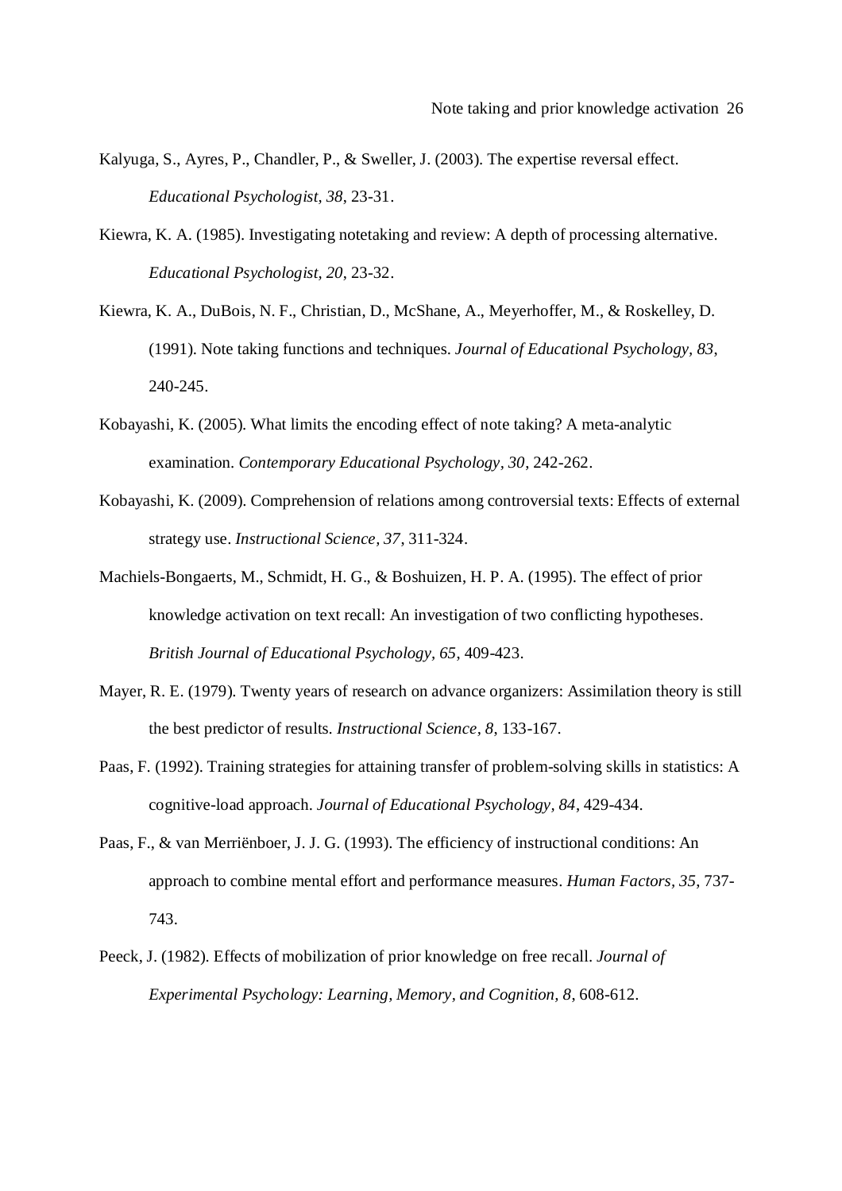- Kalyuga, S., Ayres, P., Chandler, P., & Sweller, J. (2003). The expertise reversal effect. *Educational Psychologist, 38*, 23-31.
- Kiewra, K. A. (1985). Investigating notetaking and review: A depth of processing alternative. *Educational Psychologist, 20*, 23-32.
- Kiewra, K. A., DuBois, N. F., Christian, D., McShane, A., Meyerhoffer, M., & Roskelley, D. (1991). Note taking functions and techniques. *Journal of Educational Psychology, 83*, 240-245.
- Kobayashi, K. (2005). What limits the encoding effect of note taking? A meta-analytic examination. *Contemporary Educational Psychology, 30*, 242-262.
- Kobayashi, K. (2009). Comprehension of relations among controversial texts: Effects of external strategy use. *Instructional Science, 37*, 311-324.
- Machiels-Bongaerts, M., Schmidt, H. G., & Boshuizen, H. P. A. (1995). The effect of prior knowledge activation on text recall: An investigation of two conflicting hypotheses. *British Journal of Educational Psychology, 65*, 409-423.
- Mayer, R. E. (1979). Twenty years of research on advance organizers: Assimilation theory is still the best predictor of results. *Instructional Science, 8*, 133-167.
- Paas, F. (1992). Training strategies for attaining transfer of problem-solving skills in statistics: A cognitive-load approach. *Journal of Educational Psychology, 84*, 429-434.
- Paas, F., & van Merriënboer, J. J. G. (1993). The efficiency of instructional conditions: An approach to combine mental effort and performance measures. *Human Factors, 35*, 737- 743.
- Peeck, J. (1982). Effects of mobilization of prior knowledge on free recall. *Journal of Experimental Psychology: Learning, Memory, and Cognition, 8*, 608-612.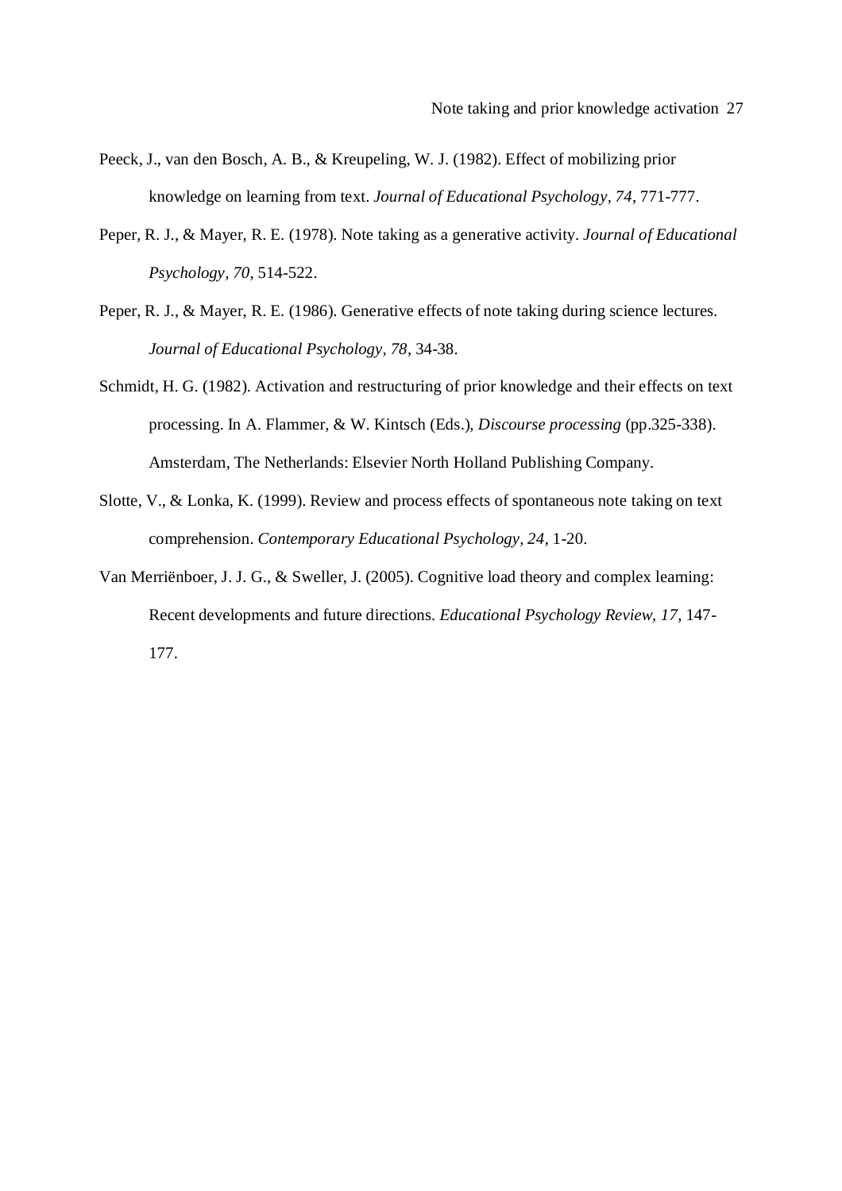- Peeck, J., van den Bosch, A. B., & Kreupeling, W. J. (1982). Effect of mobilizing prior knowledge on learning from text. *Journal of Educational Psychology, 74*, 771-777.
- Peper, R. J., & Mayer, R. E. (1978). Note taking as a generative activity. *Journal of Educational Psychology, 70*, 514-522.
- Peper, R. J., & Mayer, R. E. (1986). Generative effects of note taking during science lectures. *Journal of Educational Psychology, 78*, 34-38.
- Schmidt, H. G. (1982). Activation and restructuring of prior knowledge and their effects on text processing. In A. Flammer, & W. Kintsch (Eds.), *Discourse processing* (pp.325-338). Amsterdam, The Netherlands: Elsevier North Holland Publishing Company.
- Slotte, V., & Lonka, K. (1999). Review and process effects of spontaneous note taking on text comprehension. *Contemporary Educational Psychology, 24*, 1-20.
- Van Merriënboer, J. J. G., & Sweller, J. (2005). Cognitive load theory and complex learning: Recent developments and future directions. *Educational Psychology Review, 17*, 147- 177.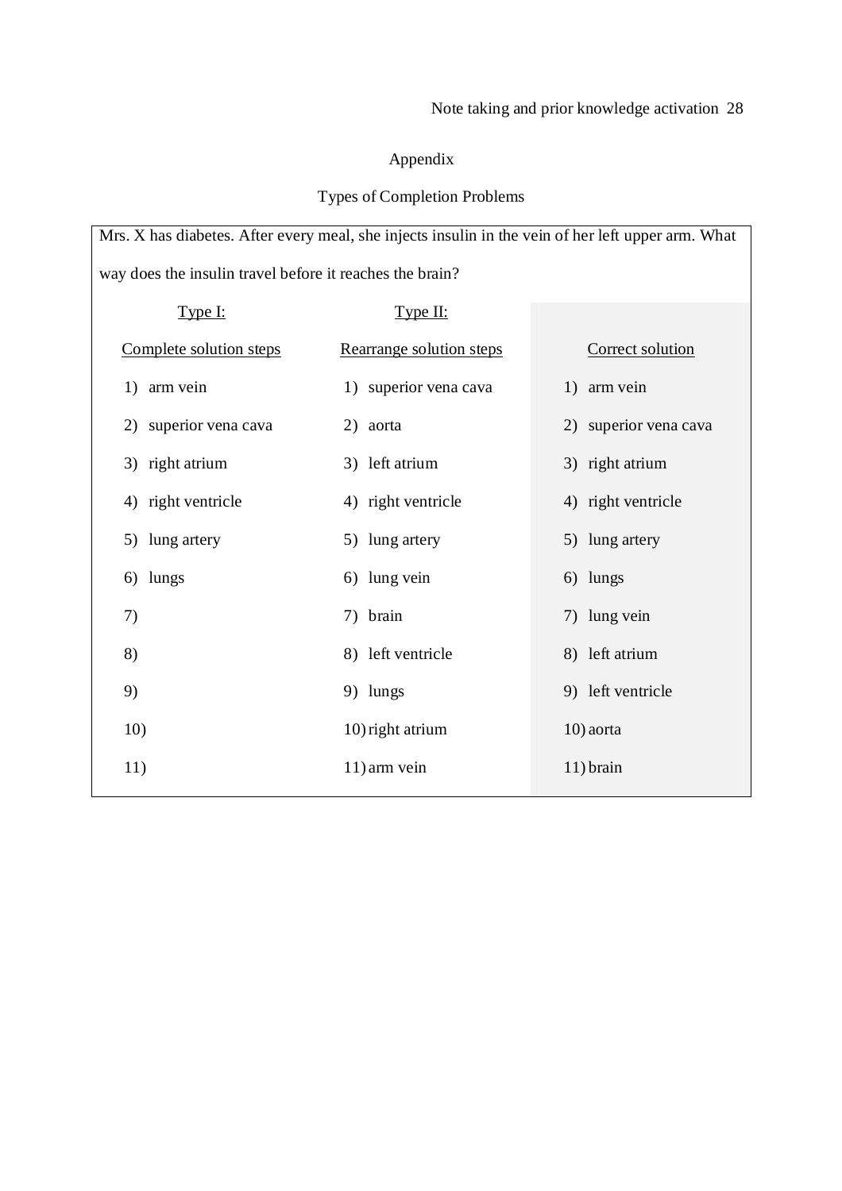# Appendix

# Types of Completion Problems

Mrs. X has diabetes. After every meal, she injects insulin in the vein of her left upper arm. What way does the insulin travel before it reaches the brain?

| Type I:                 | Type II:                 |                       |
|-------------------------|--------------------------|-----------------------|
| Complete solution steps | Rearrange solution steps | Correct solution      |
| 1) arm vein             | 1) superior vena cava    | 1) arm vein           |
| 2) superior vena cava   | 2) aorta                 | 2) superior vena cava |
| 3) right atrium         | 3) left atrium           | 3) right atrium       |
| 4) right ventricle      | 4) right ventricle       | 4) right ventricle    |
| 5) lung artery          | 5) lung artery           | 5) lung artery        |
| lungs<br>6)             | 6) lung vein             | 6) lungs              |
| 7)                      | 7) brain                 | 7) lung vein          |
| 8)                      | 8) left ventricle        | 8) left atrium        |
| 9)                      | 9) lungs                 | 9) left ventricle     |
| 10)                     | 10) right atrium         | 10) aorta             |
| 11)                     | 11) arm vein             | 11) brain             |
|                         |                          |                       |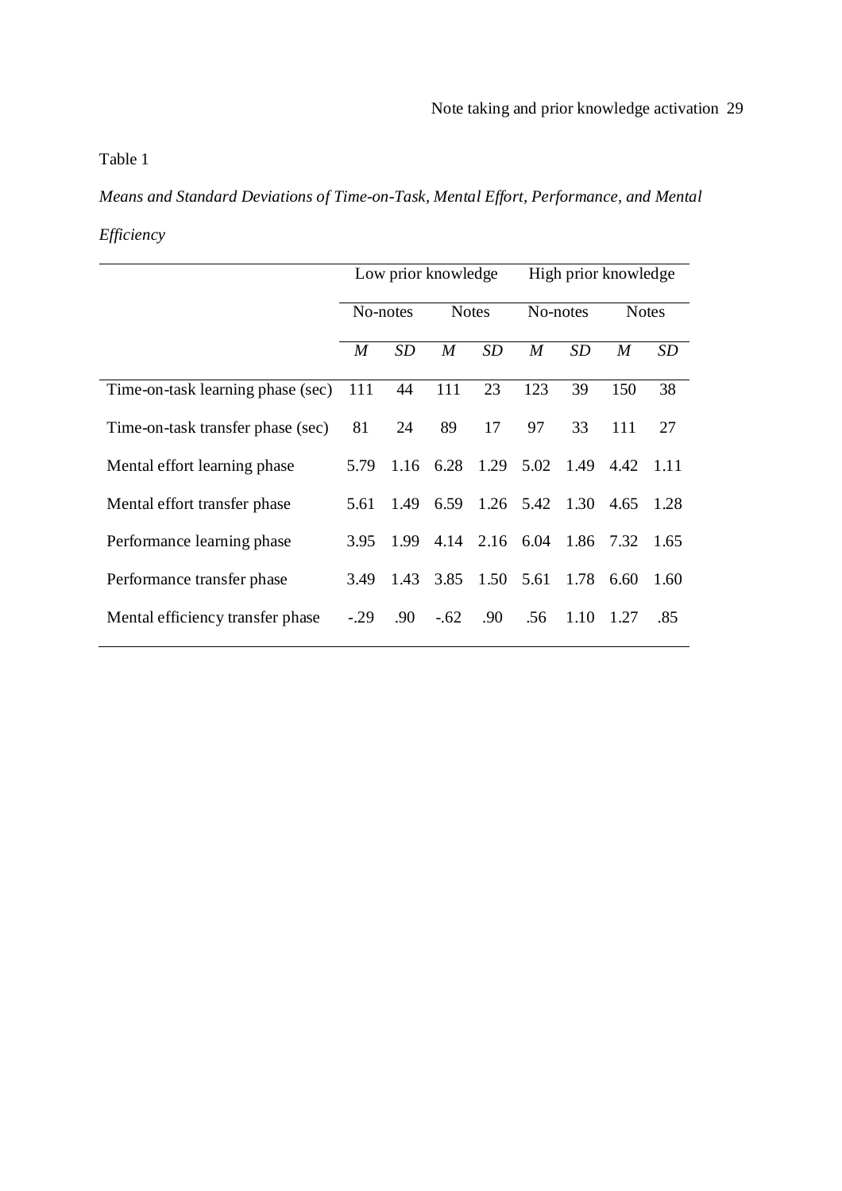# Table 1

*Means and Standard Deviations of Time-on-Task, Mental Effort, Performance, and Mental Efficiency*

|                                   | Low prior knowledge |      |                  |                          | High prior knowledge |           |              |      |
|-----------------------------------|---------------------|------|------------------|--------------------------|----------------------|-----------|--------------|------|
|                                   | No-notes            |      | <b>Notes</b>     |                          | No-notes             |           | <b>Notes</b> |      |
|                                   | M                   | SD   | $\boldsymbol{M}$ | SD                       | M                    | SD        | M            | SD   |
| Time-on-task learning phase (sec) | 111                 | 44   | 111              | 23                       | 123                  | 39        | 150          | 38   |
| Time-on-task transfer phase (sec) | 81                  | 24   | 89               | 17                       | 97                   | 33        | 111          | 27   |
| Mental effort learning phase      | 5.79                |      | $1.16$ 6.28 1.29 |                          | 5.02                 | 1.49      | 4.42         | 1.11 |
| Mental effort transfer phase      | 5.61                |      |                  | 1.49 6.59 1.26 5.42 1.30 |                      |           | 4.65         | 1.28 |
| Performance learning phase        | 3.95                | 1.99 |                  | 4.14 2.16 6.04           |                      | 1.86 7.32 |              | 1.65 |
| Performance transfer phase        | 3.49                | 1.43 |                  | 3.85 1.50                | 5.61                 | 1.78      | 6.60         | 1.60 |
| Mental efficiency transfer phase  | $-29$               | .90  | $-.62$           | .90                      | .56                  | 1.10      | 1.27         | .85  |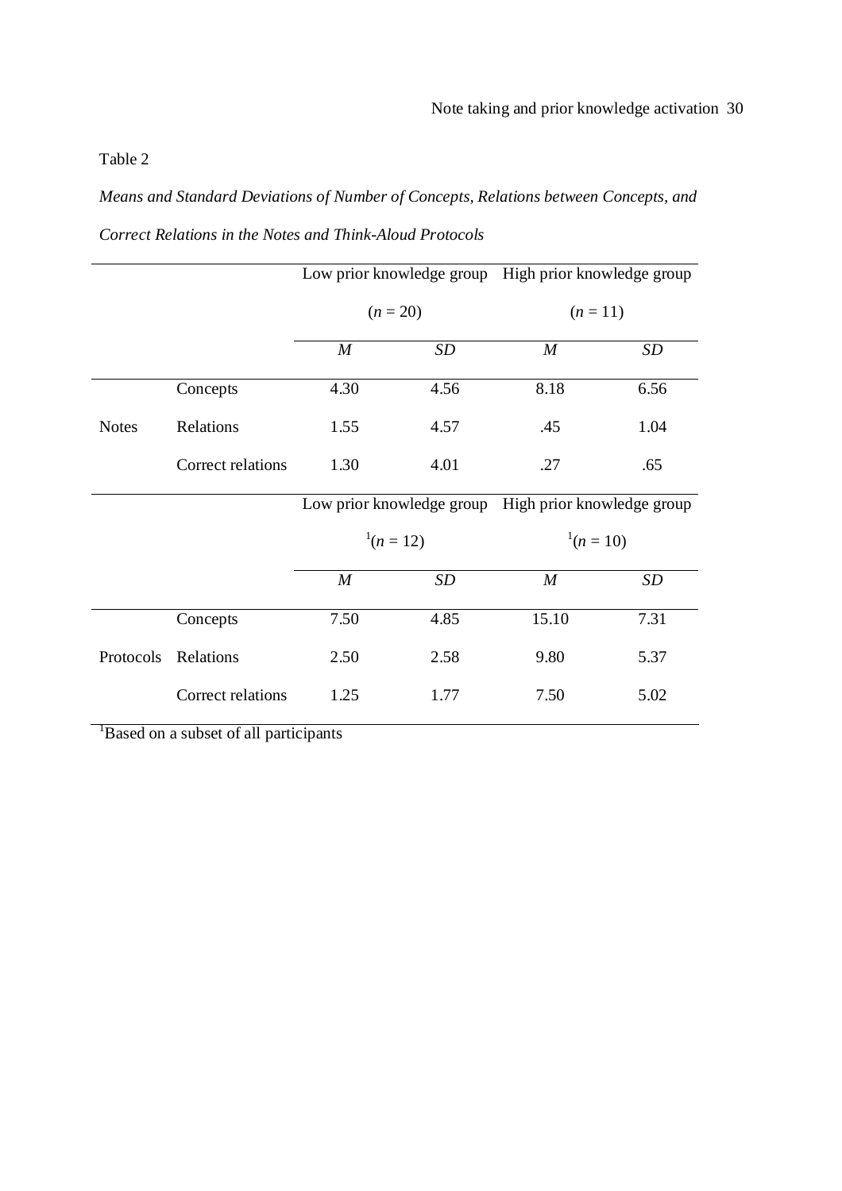# Table 2

*Means and Standard Deviations of Number of Concepts, Relations between Concepts, and Correct Relations in the Notes and Think-Aloud Protocols*

|              |                   |                           |      | Low prior knowledge group High prior knowledge group |           |  |  |
|--------------|-------------------|---------------------------|------|------------------------------------------------------|-----------|--|--|
|              |                   | $(n = 20)$                |      | $(n=11)$                                             |           |  |  |
|              |                   | $\boldsymbol{M}$          | SD   | $\boldsymbol{M}$                                     | <b>SD</b> |  |  |
|              | Concepts          | 4.30                      | 4.56 | 8.18                                                 | 6.56      |  |  |
| <b>Notes</b> | Relations         | 1.55                      | 4.57 | .45                                                  | 1.04      |  |  |
|              | Correct relations | 1.30                      | 4.01 | .27                                                  | .65       |  |  |
|              |                   | Low prior knowledge group |      | High prior knowledge group                           |           |  |  |
|              |                   | $1(n=12)$                 |      | $1(n=10)$                                            |           |  |  |
|              |                   | $\boldsymbol{M}$          | SD   | $\boldsymbol{M}$                                     | SD        |  |  |
|              | Concepts          | 7.50                      | 4.85 | 15.10                                                | 7.31      |  |  |
| Protocols    | Relations         | 2.50                      | 2.58 | 9.80                                                 | 5.37      |  |  |
|              | Correct relations | 1.25                      | 1.77 | 7.50                                                 | 5.02      |  |  |

<sup>1</sup>Based on a subset of all participants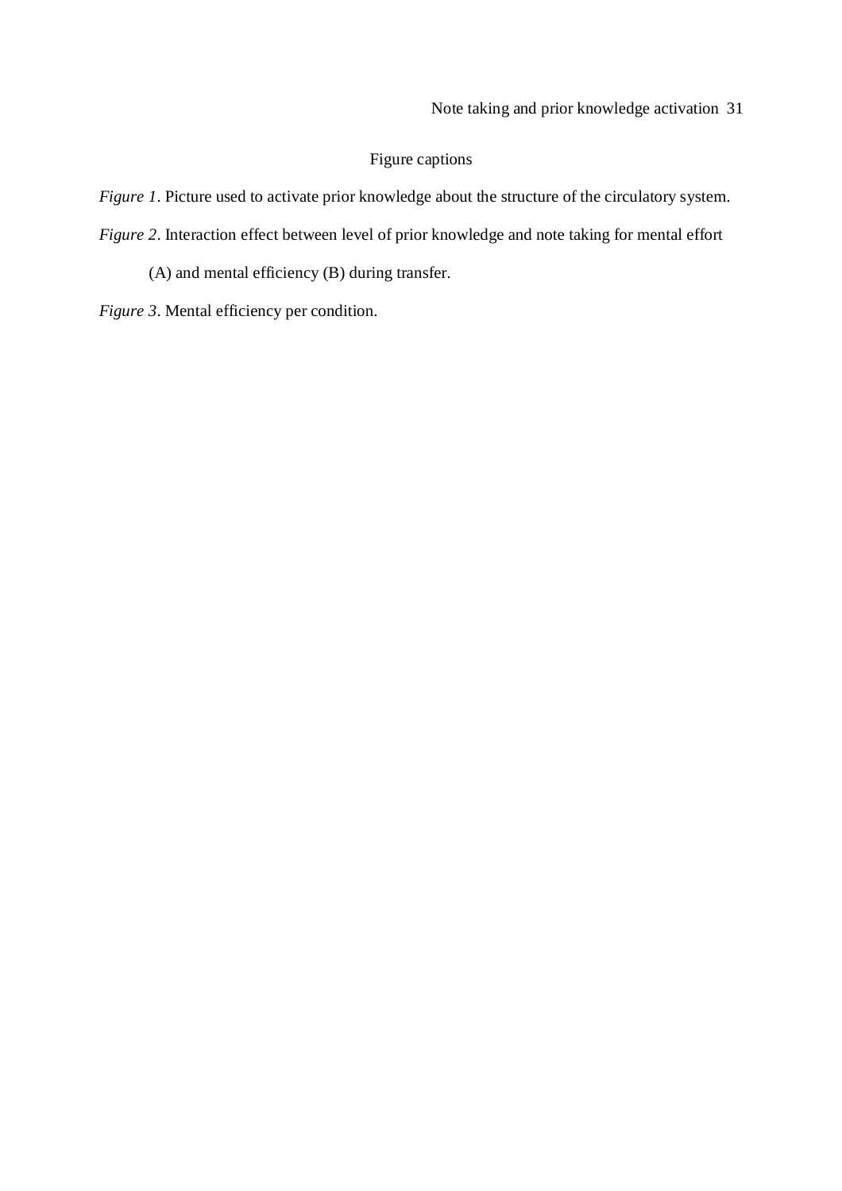# Figure captions

*Figure 1*. Picture used to activate prior knowledge about the structure of the circulatory system.

*Figure 2*. Interaction effect between level of prior knowledge and note taking for mental effort

(A) and mental efficiency (B) during transfer.

*Figure 3*. Mental efficiency per condition.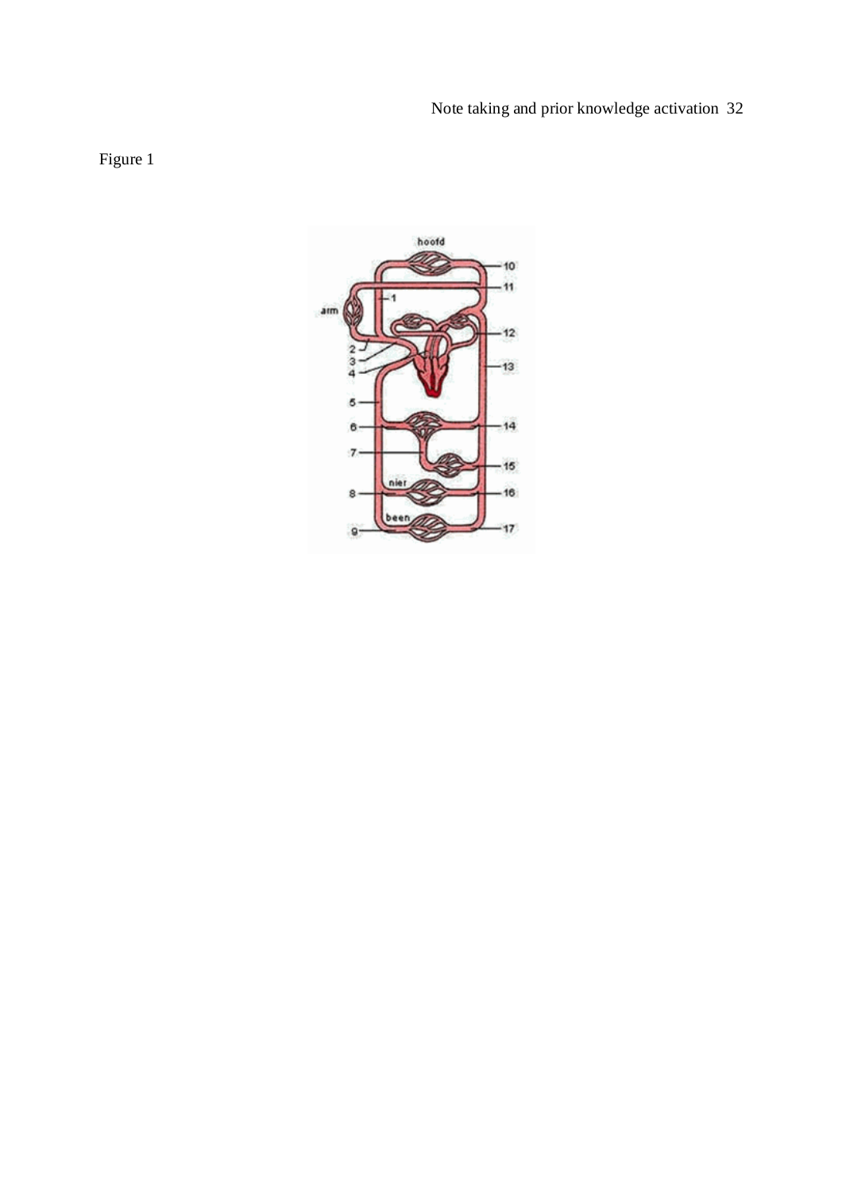# Note taking and prior knowledge activation 32



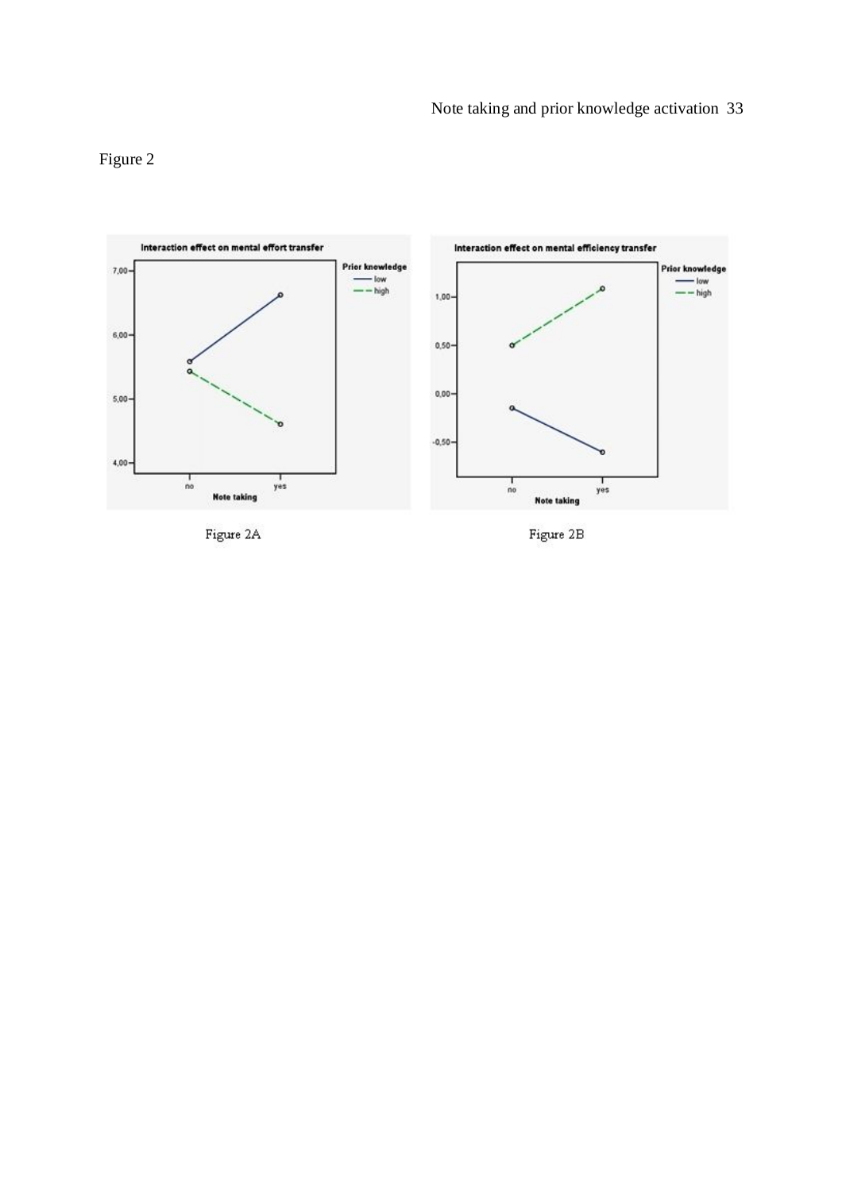# Figure 2



Figure 2A

Figure 2B